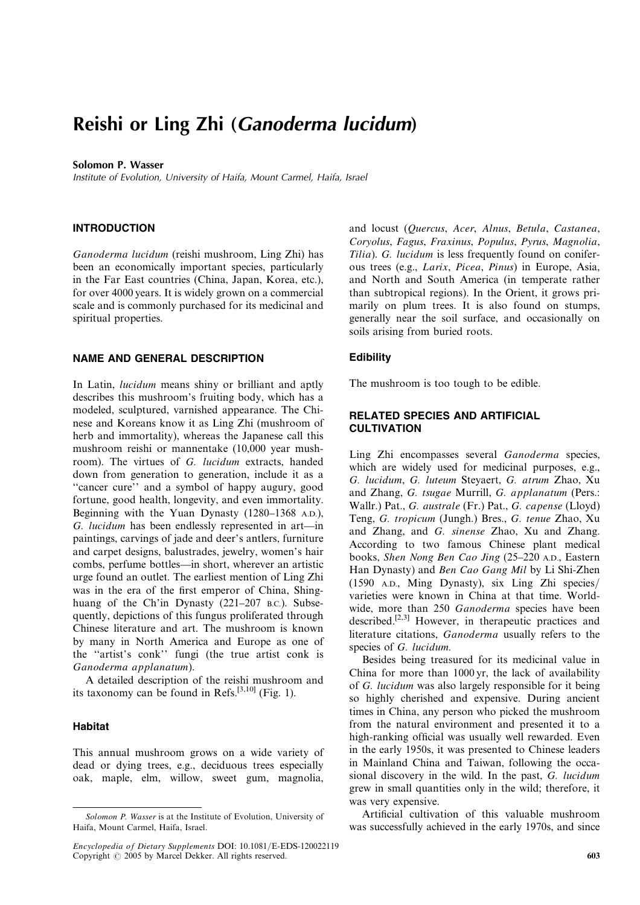# Reishi or Ling Zhi (Ganoderma lucidum)

Solomon P. Wasser Institute of Evolution, University of Haifa, Mount Carmel, Haifa, Israel

#### INTRODUCTION

Ganoderma lucidum (reishi mushroom, Ling Zhi) has been an economically important species, particularly in the Far East countries (China, Japan, Korea, etc.), for over 4000 years. It is widely grown on a commercial scale and is commonly purchased for its medicinal and spiritual properties.

#### NAME AND GENERAL DESCRIPTION

In Latin, *lucidum* means shiny or brilliant and aptly describes this mushroom's fruiting body, which has a modeled, sculptured, varnished appearance. The Chinese and Koreans know it as Ling Zhi (mushroom of herb and immortality), whereas the Japanese call this mushroom reishi or mannentake (10,000 year mushroom). The virtues of G. lucidum extracts, handed down from generation to generation, include it as a ''cancer cure'' and a symbol of happy augury, good fortune, good health, longevity, and even immortality. Beginning with the Yuan Dynasty (1280–1368 A.D.), G. lucidum has been endlessly represented in art—in paintings, carvings of jade and deer's antlers, furniture and carpet designs, balustrades, jewelry, women's hair combs, perfume bottles—in short, wherever an artistic urge found an outlet. The earliest mention of Ling Zhi was in the era of the first emperor of China, Shinghuang of the Ch'in Dynasty (221–207 B.C.). Subsequently, depictions of this fungus proliferated through Chinese literature and art. The mushroom is known by many in North America and Europe as one of the ''artist's conk'' fungi (the true artist conk is Ganoderma applanatum).

A detailed description of the reishi mushroom and its taxonomy can be found in Refs.<sup>[3,10]</sup> (Fig. 1).

#### Habitat

This annual mushroom grows on a wide variety of dead or dying trees, e.g., deciduous trees especially oak, maple, elm, willow, sweet gum, magnolia,

and locust (Quercus, Acer, Alnus, Betula, Castanea, Coryolus, Fagus, Fraxinus, Populus, Pyrus, Magnolia, Tilia). G. lucidum is less frequently found on coniferous trees (e.g., Larix, Picea, Pinus) in Europe, Asia, and North and South America (in temperate rather than subtropical regions). In the Orient, it grows primarily on plum trees. It is also found on stumps, generally near the soil surface, and occasionally on soils arising from buried roots.

#### **Edibility**

The mushroom is too tough to be edible.

#### RELATED SPECIES AND ARTIFICIAL **CULTIVATION**

Ling Zhi encompasses several Ganoderma species, which are widely used for medicinal purposes, e.g., G. lucidum, G. luteum Steyaert, G. atrum Zhao, Xu and Zhang, G. tsugae Murrill, G. applanatum (Pers.: Wallr.) Pat., G. australe (Fr.) Pat., G. capense (Lloyd) Teng, G. tropicum (Jungh.) Bres., G. tenue Zhao, Xu and Zhang, and G. sinense Zhao, Xu and Zhang. According to two famous Chinese plant medical books, Shen Nong Ben Cao Jing (25–220 A.D., Eastern Han Dynasty) and Ben Cao Gang Mil by Li Shi-Zhen  $(1590$  A.D., Ming Dynasty), six Ling Zhi species varieties were known in China at that time. Worldwide, more than 250 Ganoderma species have been described.<sup>[2,3]</sup> However, in therapeutic practices and literature citations, Ganoderma usually refers to the species of G. lucidum.

Besides being treasured for its medicinal value in China for more than 1000 yr, the lack of availability of G. lucidum was also largely responsible for it being so highly cherished and expensive. During ancient times in China, any person who picked the mushroom from the natural environment and presented it to a high-ranking official was usually well rewarded. Even in the early 1950s, it was presented to Chinese leaders in Mainland China and Taiwan, following the occasional discovery in the wild. In the past, G. lucidum grew in small quantities only in the wild; therefore, it was very expensive.

Artificial cultivation of this valuable mushroom was successfully achieved in the early 1970s, and since

Solomon P. Wasser is at the Institute of Evolution, University of Haifa, Mount Carmel, Haifa, Israel.

Encyclopedia of Dietary Supplements DOI: 10.1081/E-EDS-120022119 Copyright  $\odot$  2005 by Marcel Dekker. All rights reserved. 603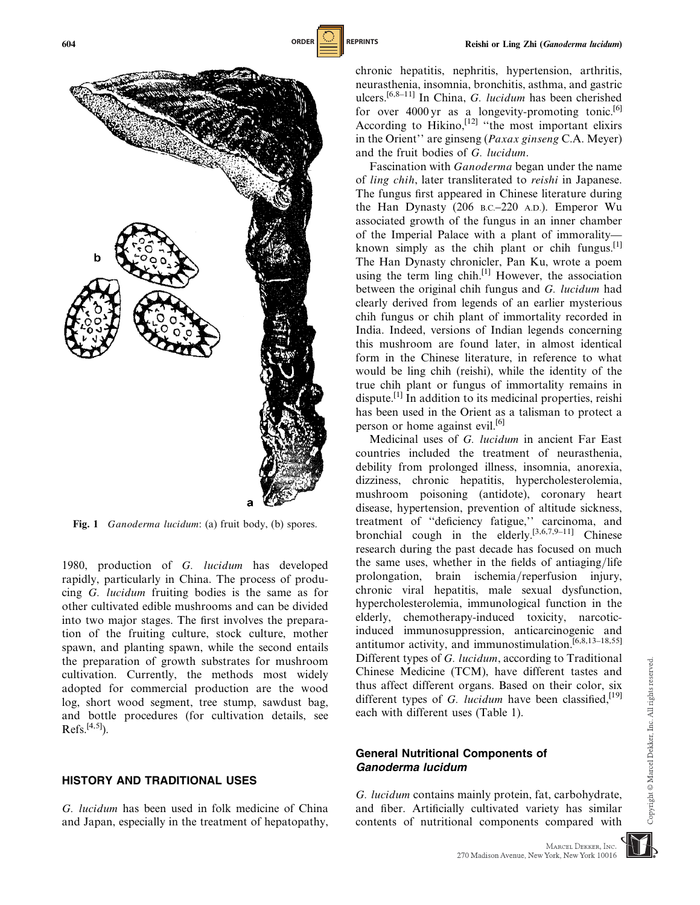

Fig. 1 Ganoderma lucidum: (a) fruit body, (b) spores.

1980, production of G. lucidum has developed rapidly, particularly in China. The process of producing G. lucidum fruiting bodies is the same as for other cultivated edible mushrooms and can be divided into two major stages. The first involves the preparation of the fruiting culture, stock culture, mother spawn, and planting spawn, while the second entails the preparation of growth substrates for mushroom cultivation. Currently, the methods most widely adopted for commercial production are the wood log, short wood segment, tree stump, sawdust bag, and bottle procedures (for cultivation details, see  $Refs.$ <sup>[4,5]</sup>).

#### HISTORY AND TRADITIONAL USES

G. lucidum has been used in folk medicine of China and Japan, especially in the treatment of hepatopathy, chronic hepatitis, nephritis, hypertension, arthritis, neurasthenia, insomnia, bronchitis, asthma, and gastric ulcers.<sup>[6,8-11]</sup> In China, G. lucidum has been cherished for over  $4000 \,\text{yr}$  as a longevity-promoting tonic.<sup>[6]</sup> According to Hikino,  $[12]$  "the most important elixirs in the Orient'' are ginseng (Paxax ginseng C.A. Meyer) and the fruit bodies of G. lucidum.

**ORDER REPRINTS** 

Fascination with Ganoderma began under the name of ling chih, later transliterated to reishi in Japanese. The fungus first appeared in Chinese literature during the Han Dynasty (206 B.C.–220 A.D.). Emperor Wu associated growth of the fungus in an inner chamber of the Imperial Palace with a plant of immorality known simply as the chih plant or chih fungus.<sup>[1]</sup> The Han Dynasty chronicler, Pan Ku, wrote a poem using the term ling chih.<sup>[1]</sup> However, the association between the original chih fungus and G. lucidum had clearly derived from legends of an earlier mysterious chih fungus or chih plant of immortality recorded in India. Indeed, versions of Indian legends concerning this mushroom are found later, in almost identical form in the Chinese literature, in reference to what would be ling chih (reishi), while the identity of the true chih plant or fungus of immortality remains in dispute.<sup>[1]</sup> In addition to its medicinal properties, reishi has been used in the Orient as a talisman to protect a person or home against evil.<sup>[6]</sup>

Medicinal uses of G. lucidum in ancient Far East countries included the treatment of neurasthenia, debility from prolonged illness, insomnia, anorexia, dizziness, chronic hepatitis, hypercholesterolemia, mushroom poisoning (antidote), coronary heart disease, hypertension, prevention of altitude sickness, treatment of ''deficiency fatigue,'' carcinoma, and bronchial cough in the elderly.[3,6,7,9–11] Chinese research during the past decade has focused on much the same uses, whether in the fields of antiaging/life prolongation, brain ischemia/reperfusion injury, chronic viral hepatitis, male sexual dysfunction, hypercholesterolemia, immunological function in the elderly, chemotherapy-induced toxicity, narcoticinduced immunosuppression, anticarcinogenic and antitumor activity, and immunostimulation.<sup>[6,8,13-18,55]</sup> Different types of G. lucidum, according to Traditional Chinese Medicine (TCM), have different tastes and thus affect different organs. Based on their color, six different types of G. lucidum have been classified,  $[19]$ each with different uses (Table 1).

### General Nutritional Components of Ganoderma lucidum

G. lucidum contains mainly protein, fat, carbohydrate, and fiber. Artificially cultivated variety has similar contents of nutritional components compared with

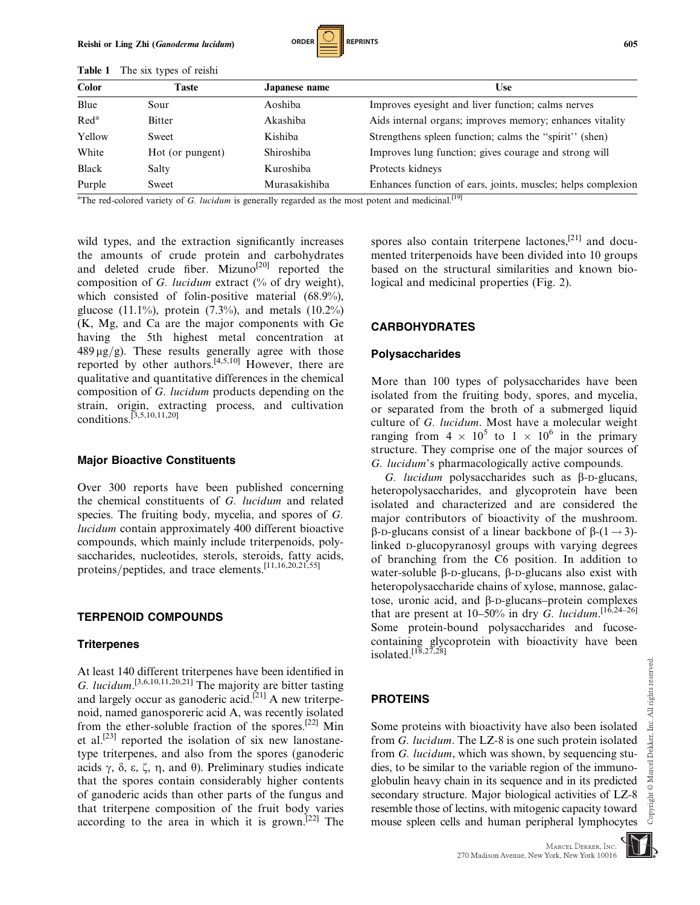

| Color            | Taste            | Japanese name | <b>Use</b>                                                   |
|------------------|------------------|---------------|--------------------------------------------------------------|
| Blue             | Sour             | Aoshiba       | Improves eyesight and liver function; calms nerves           |
| Red <sup>a</sup> | Bitter           | Akashiba      | Aids internal organs; improves memory; enhances vitality     |
| Yellow           | Sweet            | Kishiba       | Strengthens spleen function; calms the "spirit" (shen)       |
| White            | Hot (or pungent) | Shiroshiba    | Improves lung function; gives courage and strong will        |
| Black            | Salty            | Kuroshiba     | Protects kidneys                                             |
| Purple           | Sweet            | Murasakishiba | Enhances function of ears, joints, muscles; helps complexion |

<sup>a</sup>The red-colored variety of G. lucidum is generally regarded as the most potent and medicinal.<sup>[19]</sup>

wild types, and the extraction significantly increases the amounts of crude protein and carbohydrates and deleted crude fiber. Mizuno<sup>[20]</sup> reported the composition of G. lucidum extract  $\frac{0}{0}$  of dry weight), which consisted of folin-positive material (68.9%), glucose  $(11.1\%)$ , protein  $(7.3\%)$ , and metals  $(10.2\%)$ (K, Mg, and Ca are the major components with Ge having the 5th highest metal concentration at  $489 \mu g/g$ ). These results generally agree with those reported by other authors. $[4,5,10]$  However, there are qualitative and quantitative differences in the chemical composition of G. lucidum products depending on the strain, origin, extracting process, and cultivation conditions.[3,5,10,11,20]

#### Major Bioactive Constituents

Over 300 reports have been published concerning the chemical constituents of G. lucidum and related species. The fruiting body, mycelia, and spores of G. lucidum contain approximately 400 different bioactive compounds, which mainly include triterpenoids, polysaccharides, nucleotides, sterols, steroids, fatty acids, proteins/peptides, and trace elements.<sup>[11,16,20,21,55]</sup>

#### TERPENOID COMPOUNDS

#### **Triterpenes**

At least 140 different triterpenes have been identified in G. lucidum.<sup>[3,6,10,11,20,21]</sup> The majority are bitter tasting and largely occur as ganoderic acid.<sup>[21]</sup> A new triterpenoid, named ganosporeric acid A, was recently isolated from the ether-soluble fraction of the spores.<sup>[22]</sup> Min et al.<sup>[23]</sup> reported the isolation of six new lanostanetype triterpenes, and also from the spores (ganoderic acids  $\gamma$ ,  $\delta$ ,  $\varepsilon$ ,  $\zeta$ ,  $\eta$ , and  $\theta$ ). Preliminary studies indicate that the spores contain considerably higher contents of ganoderic acids than other parts of the fungus and that triterpene composition of the fruit body varies according to the area in which it is grown.<sup>[22]</sup> The

spores also contain triterpene lactones.<sup>[21]</sup> and documented triterpenoids have been divided into 10 groups based on the structural similarities and known biological and medicinal properties (Fig. 2).

### CARBOHYDRATES

#### Polysaccharides

More than 100 types of polysaccharides have been isolated from the fruiting body, spores, and mycelia, or separated from the broth of a submerged liquid culture of G. lucidum. Most have a molecular weight ranging from  $4 \times 10^5$  to  $1 \times 10^6$  in the primary structure. They comprise one of the major sources of G. lucidum's pharmacologically active compounds.

G. *lucidum* polysaccharides such as  $\beta$ -D-glucans, heteropolysaccharides, and glycoprotein have been isolated and characterized and are considered the major contributors of bioactivity of the mushroom.  $\beta$ -D-glucans consist of a linear backbone of  $\beta$ - $(1 \rightarrow 3)$ linked D-glucopyranosyl groups with varying degrees of branching from the C6 position. In addition to water-soluble  $\beta$ -D-glucans,  $\beta$ -D-glucans also exist with heteropolysaccharide chains of xylose, mannose, galactose, uronic acid, and  $\beta$ -D-glucans–protein complexes that are present at 10–50% in dry  $\tilde{G}$ . lucidum.<sup>[16,24–26]</sup> Some protein-bound polysaccharides and fucosecontaining glycoprotein with bioactivity have been isolated.<sup>[18,27,28]</sup>

#### PROTEINS

Some proteins with bioactivity have also been isolated from G. lucidum. The LZ-8 is one such protein isolated from G. lucidum, which was shown, by sequencing studies, to be similar to the variable region of the immunoglobulin heavy chain in its sequence and in its predicted secondary structure. Major biological activities of LZ-8 resemble those of lectins, with mitogenic capacity toward mouse spleen cells and human peripheral lymphocytes



MARCEL DEKKER, INC.

270 Madison Avenue, New York, New York 10016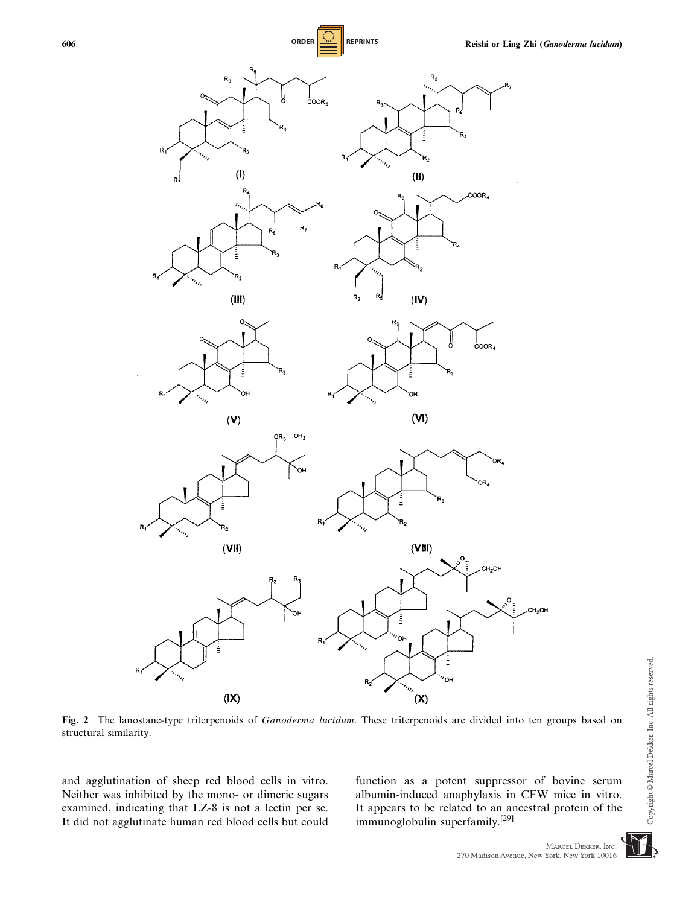

Fig. 2 The lanostane-type triterpenoids of Ganoderma lucidum. These triterpenoids are divided into ten groups based on structural similarity.

and agglutination of sheep red blood cells in vitro. Neither was inhibited by the mono- or dimeric sugars examined, indicating that LZ-8 is not a lectin per se. It did not agglutinate human red blood cells but could function as a potent suppressor of bovine serum albumin-induced anaphylaxis in CFW mice in vitro. It appears to be related to an ancestral protein of the immunoglobulin superfamily.<sup>[29]</sup>

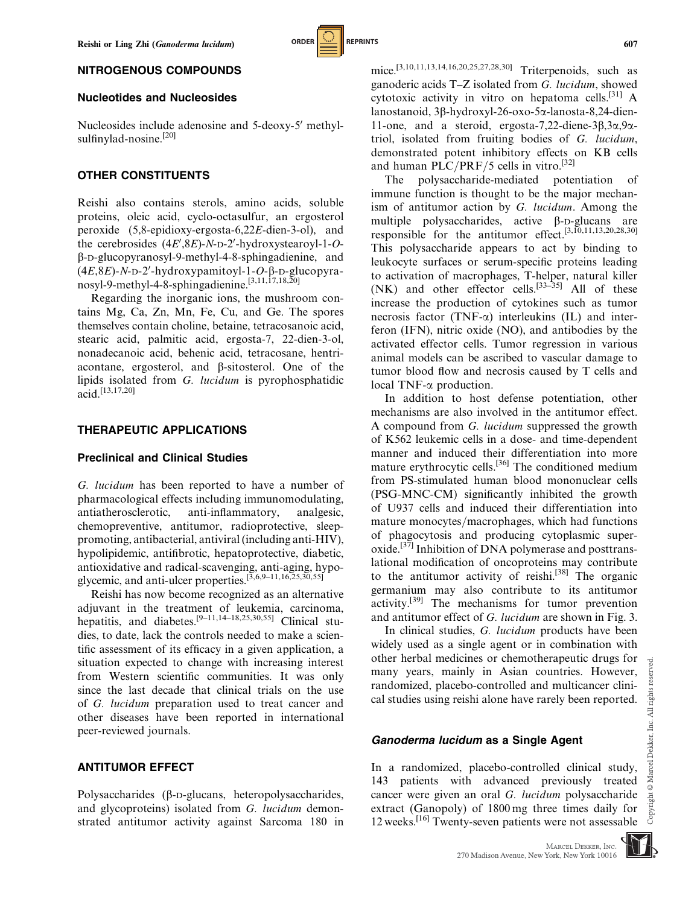

#### NITROGENOUS COMPOUNDS

#### Nucleotides and Nucleosides

Nucleosides include adenosine and  $5$ -deoxy- $5'$  methylsulfinylad-nosine.[20]

### OTHER CONSTITUENTS

Reishi also contains sterols, amino acids, soluble proteins, oleic acid, cyclo-octasulfur, an ergosterol peroxide (5,8-epidioxy-ergosta-6,22E-dien-3-ol), and the cerebrosides  $(4E', 8E)$ -N-D-2'-hydroxystearoyl-1-Ob-D-glucopyranosyl-9-methyl-4-8-sphingadienine, and  $(4E,8E)$ -N-D-2'-hydroxypamitoyl-1-O- $\beta$ -D-glucopyranosyl-9-methyl-4-8-sphingadienine.[3,11,17,18,20]

Regarding the inorganic ions, the mushroom contains Mg, Ca, Zn, Mn, Fe, Cu, and Ge. The spores themselves contain choline, betaine, tetracosanoic acid, stearic acid, palmitic acid, ergosta-7, 22-dien-3-ol, nonadecanoic acid, behenic acid, tetracosane, hentriacontane, ergosterol, and b-sitosterol. One of the lipids isolated from G. lucidum is pyrophosphatidic acid.[13,17,20]

#### THERAPEUTIC APPLICATIONS

#### Preclinical and Clinical Studies

G. lucidum has been reported to have a number of pharmacological effects including immunomodulating, antiatherosclerotic, anti-inflammatory, analgesic, chemopreventive, antitumor, radioprotective, sleeppromoting, antibacterial, antiviral (including anti-HIV), hypolipidemic, antifibrotic, hepatoprotective, diabetic, antioxidative and radical-scavenging, anti-aging, hypoglycemic, and anti-ulcer properties.<sup>[3,6,9–11,16,25,30,55]</sup>

Reishi has now become recognized as an alternative adjuvant in the treatment of leukemia, carcinoma, hepatitis, and diabetes.<sup>[9–11,14–18,25,30,55]</sup> Clinical studies, to date, lack the controls needed to make a scientific assessment of its efficacy in a given application, a situation expected to change with increasing interest from Western scientific communities. It was only since the last decade that clinical trials on the use of G. lucidum preparation used to treat cancer and other diseases have been reported in international peer-reviewed journals.

#### ANTITUMOR EFFECT

Polysaccharides ( $\beta$ -D-glucans, heteropolysaccharides, and glycoproteins) isolated from G. lucidum demonstrated antitumor activity against Sarcoma 180 in

mice.[3,10,11,13,14,16,20,25,27,28,30] Triterpenoids, such as ganoderic acids T–Z isolated from G. lucidum, showed cytotoxic activity in vitro on hepatoma cells.<sup>[31]</sup> A lanostanoid, 3b-hydroxyl-26-oxo-5a-lanosta-8,24-dien-11-one, and a steroid, ergosta-7,22-diene-3 $\beta$ ,3 $\alpha$ ,9 $\alpha$ triol, isolated from fruiting bodies of G. lucidum, demonstrated potent inhibitory effects on KB cells and human PLC/PRF/5 cells in vitro.<sup>[32]</sup>

The polysaccharide-mediated potentiation of immune function is thought to be the major mechanism of antitumor action by G. lucidum. Among the multiple polysaccharides, active  $\beta$ -D-glucans are responsible for the antitumor effect.[3,10,11,13,20,28,30] This polysaccharide appears to act by binding to leukocyte surfaces or serum-specific proteins leading to activation of macrophages, T-helper, natural killer  $(NK)$  and other effector cells.<sup>[33–35]</sup> All of these increase the production of cytokines such as tumor necrosis factor (TNF- $\alpha$ ) interleukins (IL) and interferon (IFN), nitric oxide (NO), and antibodies by the activated effector cells. Tumor regression in various animal models can be ascribed to vascular damage to tumor blood flow and necrosis caused by T cells and local TNF-a production.

In addition to host defense potentiation, other mechanisms are also involved in the antitumor effect. A compound from G. lucidum suppressed the growth of K562 leukemic cells in a dose- and time-dependent manner and induced their differentiation into more mature erythrocytic cells.<sup>[36]</sup> The conditioned medium from PS-stimulated human blood mononuclear cells (PSG-MNC-CM) significantly inhibited the growth of U937 cells and induced their differentiation into mature monocytes/macrophages, which had functions of phagocytosis and producing cytoplasmic superoxide.[37] Inhibition of DNA polymerase and posttranslational modification of oncoproteins may contribute to the antitumor activity of reishi.<sup>[38]</sup> The organic germanium may also contribute to its antitumor activity.[39] The mechanisms for tumor prevention and antitumor effect of G. lucidum are shown in Fig. 3.

In clinical studies, G. lucidum products have been widely used as a single agent or in combination with other herbal medicines or chemotherapeutic drugs for many years, mainly in Asian countries. However, randomized, placebo-controlled and multicancer clinical studies using reishi alone have rarely been reported.

#### Ganoderma lucidum as a Single Agent

In a randomized, placebo-controlled clinical study, 143 patients with advanced previously treated cancer were given an oral G. lucidum polysaccharide extract (Ganopoly) of 1800 mg three times daily for 12 weeks.[16] Twenty-seven patients were not assessable

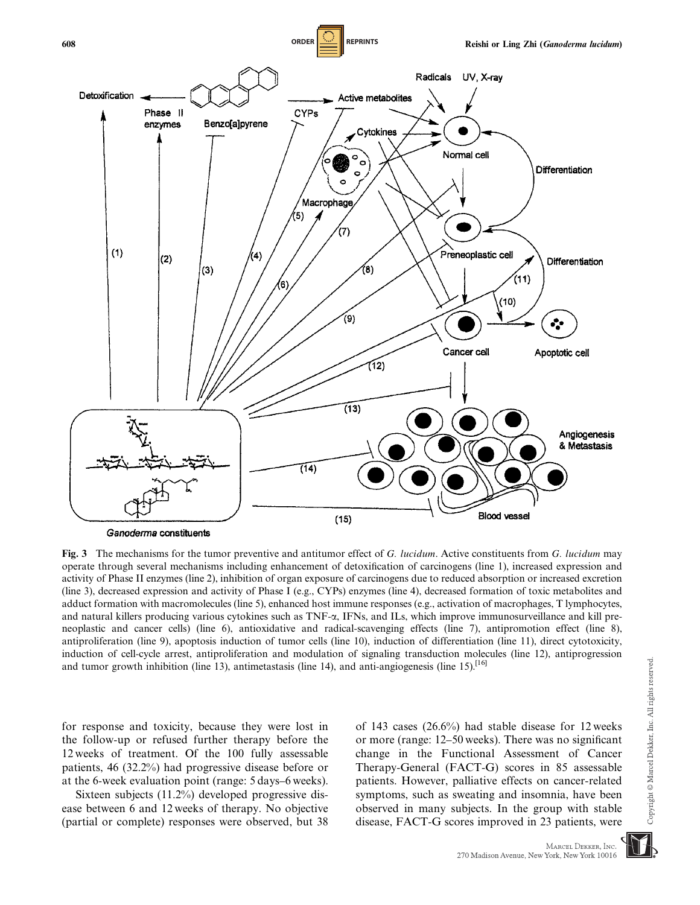

Fig. 3 The mechanisms for the tumor preventive and antitumor effect of G. lucidum. Active constituents from G. lucidum may operate through several mechanisms including enhancement of detoxification of carcinogens (line 1), increased expression and activity of Phase II enzymes (line 2), inhibition of organ exposure of carcinogens due to reduced absorption or increased excretion (line 3), decreased expression and activity of Phase I (e.g., CYPs) enzymes (line 4), decreased formation of toxic metabolites and adduct formation with macromolecules (line 5), enhanced host immune responses (e.g., activation of macrophages, T lymphocytes, and natural killers producing various cytokines such as TNF-a, IFNs, and ILs, which improve immunosurveillance and kill preneoplastic and cancer cells) (line 6), antioxidative and radical-scavenging effects (line 7), antipromotion effect (line 8), antiproliferation (line 9), apoptosis induction of tumor cells (line 10), induction of differentiation (line 11), direct cytotoxicity, induction of cell-cycle arrest, antiproliferation and modulation of signaling transduction molecules (line 12), antiprogression and tumor growth inhibition (line 13), antimetastasis (line 14), and anti-angiogenesis (line 15).<sup>[16]</sup>

for response and toxicity, because they were lost in the follow-up or refused further therapy before the 12 weeks of treatment. Of the 100 fully assessable patients, 46 (32.2%) had progressive disease before or at the 6-week evaluation point (range: 5 days–6 weeks).

Sixteen subjects (11.2%) developed progressive disease between 6 and 12 weeks of therapy. No objective (partial or complete) responses were observed, but 38

of 143 cases (26.6%) had stable disease for 12 weeks or more (range: 12–50 weeks). There was no significant change in the Functional Assessment of Cancer Therapy-General (FACT-G) scores in 85 assessable patients. However, palliative effects on cancer-related symptoms, such as sweating and insomnia, have been observed in many subjects. In the group with stable disease, FACT-G scores improved in 23 patients, were

MARCEL DEKKER, INC.

270 Madison Avenue, New York, New York 10016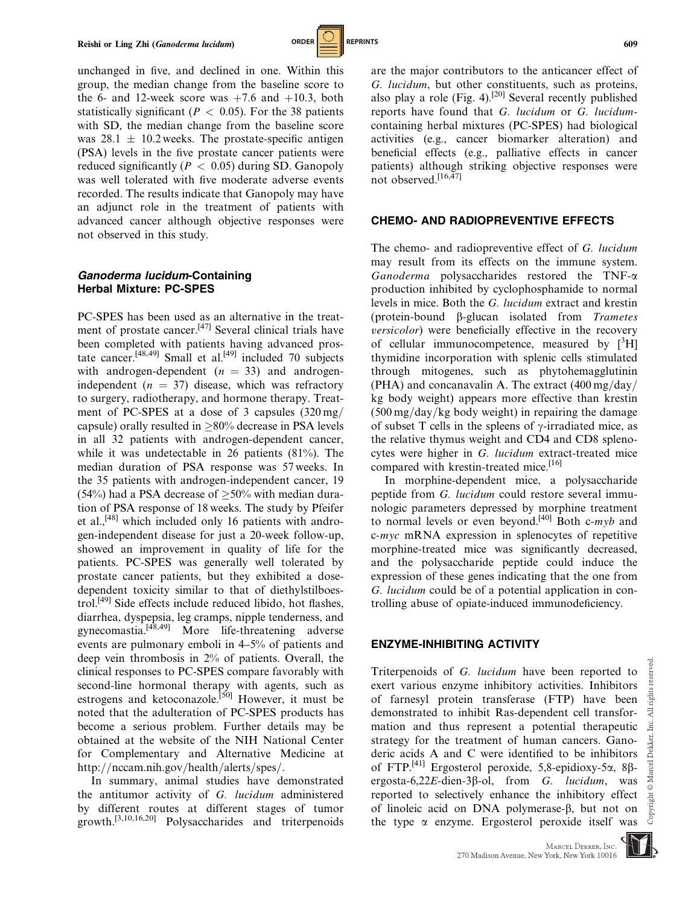

unchanged in five, and declined in one. Within this group, the median change from the baseline score to the 6- and 12-week score was  $+7.6$  and  $+10.3$ , both statistically significant ( $P < 0.05$ ). For the 38 patients with SD, the median change from the baseline score was  $28.1 \pm 10.2$  weeks. The prostate-specific antigen (PSA) levels in the five prostate cancer patients were reduced significantly ( $P < 0.05$ ) during SD. Ganopoly was well tolerated with five moderate adverse events recorded. The results indicate that Ganopoly may have an adjunct role in the treatment of patients with advanced cancer although objective responses were not observed in this study.

#### Ganoderma lucidum-Containing Herbal Mixture: PC-SPES

PC-SPES has been used as an alternative in the treatment of prostate cancer.<sup>[47]</sup> Several clinical trials have been completed with patients having advanced prostate cancer.<sup>[48,49]</sup> Small et al.<sup>[49]</sup> included 70 subjects with androgen-dependent  $(n = 33)$  and androgenindependent ( $n = 37$ ) disease, which was refractory to surgery, radiotherapy, and hormone therapy. Treatment of PC-SPES at a dose of 3 capsules  $(320 \text{ mg})$ capsule) orally resulted in  $\geq$ 80% decrease in PSA levels in all 32 patients with androgen-dependent cancer, while it was undetectable in 26 patients (81%). The median duration of PSA response was 57 weeks. In the 35 patients with androgen-independent cancer, 19  $(54\%)$  had a PSA decrease of  $>50\%$  with median duration of PSA response of 18 weeks. The study by Pfeifer et al.,<sup>[48]</sup> which included only 16 patients with androgen-independent disease for just a 20-week follow-up, showed an improvement in quality of life for the patients. PC-SPES was generally well tolerated by prostate cancer patients, but they exhibited a dosedependent toxicity similar to that of diethylstilboestrol.[49] Side effects include reduced libido, hot flashes, diarrhea, dyspepsia, leg cramps, nipple tenderness, and gynecomastia.[48,49] More life-threatening adverse events are pulmonary emboli in 4–5% of patients and deep vein thrombosis in 2% of patients. Overall, the clinical responses to PC-SPES compare favorably with second-line hormonal therapy with agents, such as estrogens and ketoconazole.<sup>[50]</sup> However, it must be noted that the adulteration of PC-SPES products has become a serious problem. Further details may be obtained at the website of the NIH National Center for Complementary and Alternative Medicine at http://nccam.nih.gov/health/alerts/spes/.

In summary, animal studies have demonstrated the antitumor activity of G. lucidum administered by different routes at different stages of tumor growth.[3,10,16,20] Polysaccharides and triterpenoids are the major contributors to the anticancer effect of G. lucidum, but other constituents, such as proteins, also play a role (Fig. 4).<sup>[20]</sup> Several recently published reports have found that G. lucidum or G. lucidumcontaining herbal mixtures (PC-SPES) had biological activities (e.g., cancer biomarker alteration) and beneficial effects (e.g., palliative effects in cancer patients) although striking objective responses were not observed.[16,47]

#### CHEMO- AND RADIOPREVENTIVE EFFECTS

The chemo- and radiopreventive effect of G. lucidum may result from its effects on the immune system. Ganoderma polysaccharides restored the TNF-a production inhibited by cyclophosphamide to normal levels in mice. Both the G. lucidum extract and krestin (protein-bound b-glucan isolated from Trametes versicolor) were beneficially effective in the recovery of cellular immunocompetence, measured by  $[^{3}H]$ thymidine incorporation with splenic cells stimulated through mitogenes, such as phytohemagglutinin (PHA) and concanavalin A. The extract  $(400 \,\text{mg}/\text{day})$ kg body weight) appears more effective than krestin  $(500 \,\text{mg/day/kg}$  body weight) in repairing the damage of subset T cells in the spleens of  $\gamma$ -irradiated mice, as the relative thymus weight and CD4 and CD8 splenocytes were higher in G. lucidum extract-treated mice compared with krestin-treated mice.<sup>[16]</sup>

In morphine-dependent mice, a polysaccharide peptide from G. lucidum could restore several immunologic parameters depressed by morphine treatment to normal levels or even beyond.<sup>[40]</sup> Both c- $myb$  and  $c-myc$  mRNA expression in splenocytes of repetitive morphine-treated mice was significantly decreased, and the polysaccharide peptide could induce the expression of these genes indicating that the one from G. lucidum could be of a potential application in controlling abuse of opiate-induced immunodeficiency.

#### ENZYME-INHIBITING ACTIVITY

Triterpenoids of G. lucidum have been reported to exert various enzyme inhibitory activities. Inhibitors of farnesyl protein transferase (FTP) have been demonstrated to inhibit Ras-dependent cell transformation and thus represent a potential therapeutic strategy for the treatment of human cancers. Ganoderic acids A and C were identified to be inhibitors of FTP.<sup>[41]</sup> Ergosterol peroxide, 5,8-epidioxy-5 $\alpha$ , 8 $\beta$ ergosta-6,22 $E$ -dien-3 $\beta$ -ol, from G. *lucidum*, was reported to selectively enhance the inhibitory effect of linoleic acid on DNA polymerase-b, but not on the type  $\alpha$  enzyme. Ergosterol peroxide itself was

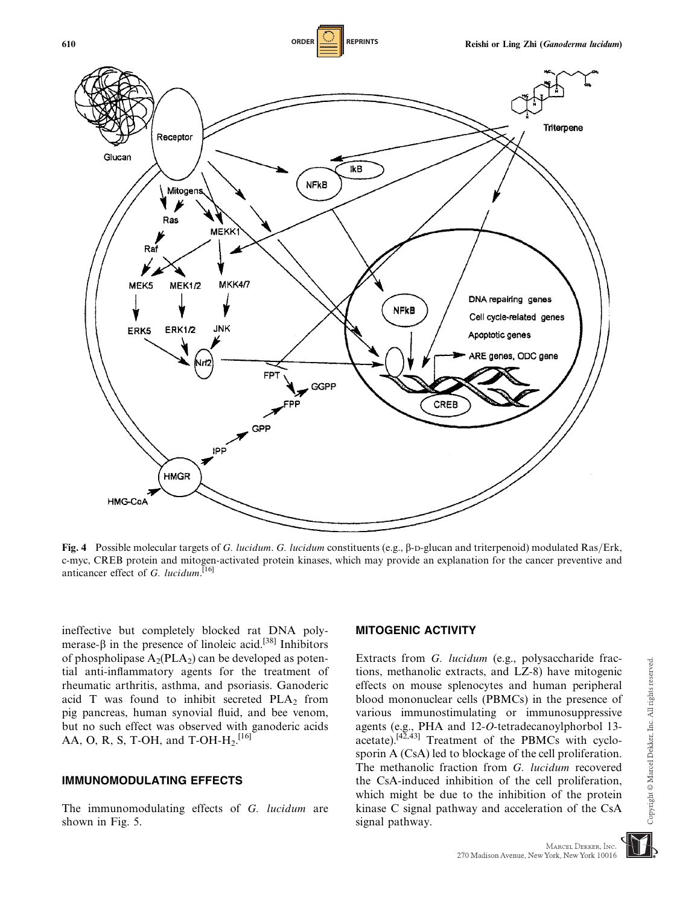

Fig. 4 Possible molecular targets of G. lucidum. G. lucidum constituents (e.g.,  $\beta$ -D-glucan and triterpenoid) modulated Ras/Erk, c-myc, CREB protein and mitogen-activated protein kinases, which may provide an explanation for the cancer preventive and anticancer effect of G. lucidum.<sup>[16]</sup>

ineffective but completely blocked rat DNA polymerase- $\beta$  in the presence of linoleic acid.<sup>[38]</sup> Inhibitors of phospholipase  $A_2(PLA_2)$  can be developed as potential anti-inflammatory agents for the treatment of rheumatic arthritis, asthma, and psoriasis. Ganoderic acid  $T$  was found to inhibit secreted PLA<sub>2</sub> from pig pancreas, human synovial fluid, and bee venom, but no such effect was observed with ganoderic acids AA, O, R, S, T-OH, and T-OH- $H_2$ .<sup>[16]</sup>

#### IMMUNOMODULATING EFFECTS

The immunomodulating effects of G. lucidum are shown in Fig. 5.

#### MITOGENIC ACTIVITY

Extracts from G. lucidum (e.g., polysaccharide fractions, methanolic extracts, and LZ-8) have mitogenic effects on mouse splenocytes and human peripheral blood mononuclear cells (PBMCs) in the presence of various immunostimulating or immunosuppressive agents (e.g., PHA and 12-O-tetradecanoylphorbol 13 acetate).<sup>[42,43]</sup> Treatment of the PBMCs with cyclosporin A (CsA) led to blockage of the cell proliferation. The methanolic fraction from G. lucidum recovered the CsA-induced inhibition of the cell proliferation, which might be due to the inhibition of the protein kinase C signal pathway and acceleration of the CsA signal pathway.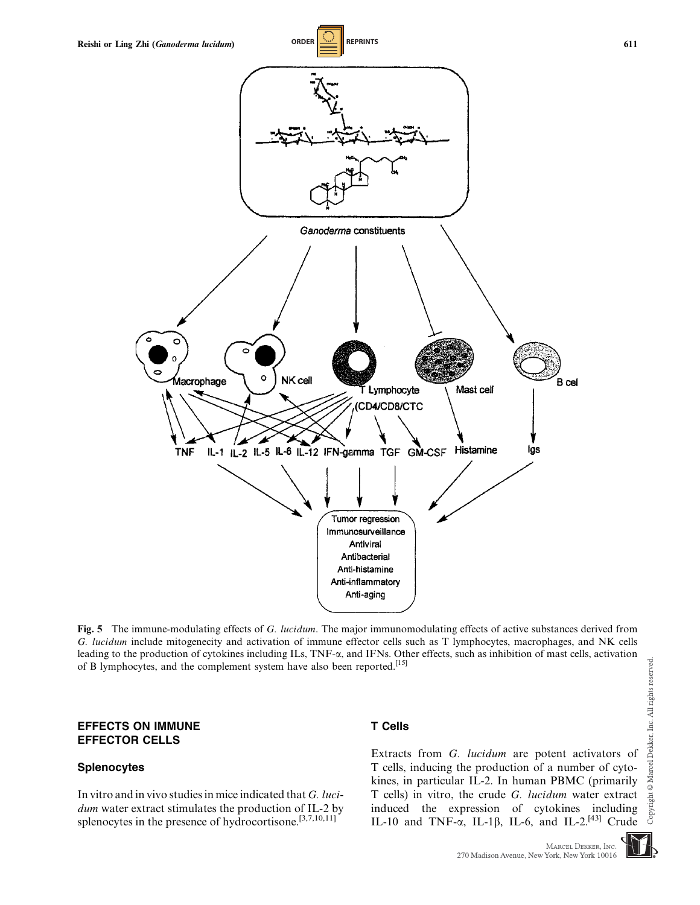



**ORDER REPRINTS** 

Fig. 5 The immune-modulating effects of G. lucidum. The major immunomodulating effects of active substances derived from G. lucidum include mitogenecity and activation of immune effector cells such as T lymphocytes, macrophages, and NK cells leading to the production of cytokines including ILs, TNF-a, and IFNs. Other effects, such as inhibition of mast cells, activation of B lymphocytes, and the complement system have also been reported.<sup>[15]</sup>

#### EFFECTS ON IMMUNE EFFECTOR CELLS

#### **Splenocytes**

In vitro and in vivo studies in mice indicated that G. lucidum water extract stimulates the production of IL-2 by splenocytes in the presence of hydrocortisone.[3,7,10,11]

# T Cells

Extracts from G. lucidum are potent activators of T cells, inducing the production of a number of cytokines, in particular IL-2. In human PBMC (primarily T cells) in vitro, the crude G. lucidum water extract induced the expression of cytokines including IL-10 and TNF- $\alpha$ , IL-1 $\beta$ , IL-6, and IL-2.<sup>[43]</sup> Crude

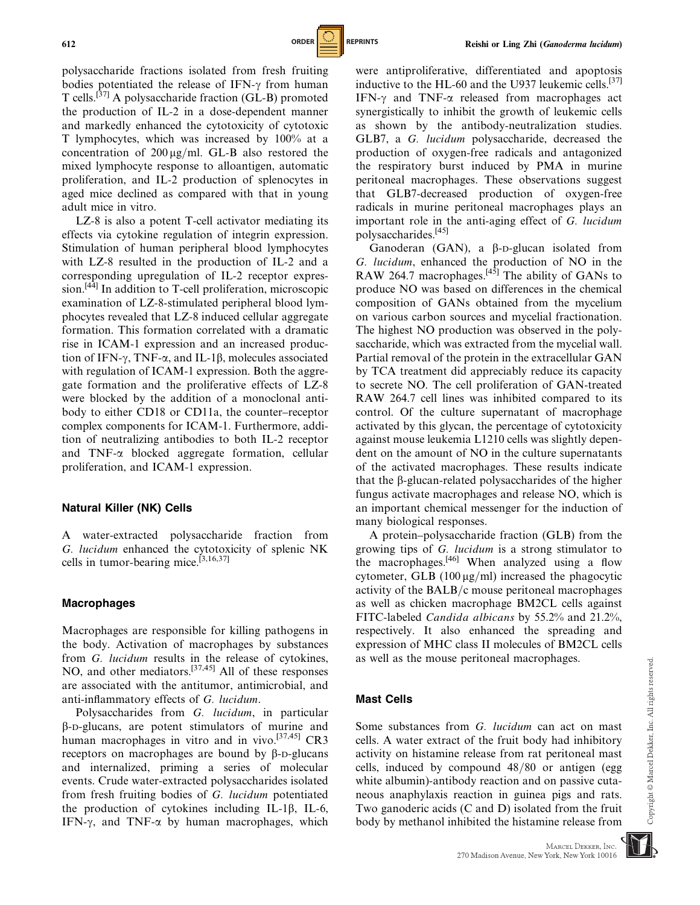

polysaccharide fractions isolated from fresh fruiting bodies potentiated the release of IFN- $\gamma$  from human T cells.[37] A polysaccharide fraction (GL-B) promoted the production of IL-2 in a dose-dependent manner and markedly enhanced the cytotoxicity of cytotoxic T lymphocytes, which was increased by 100% at a concentration of  $200 \mu g/ml$ . GL-B also restored the mixed lymphocyte response to alloantigen, automatic proliferation, and IL-2 production of splenocytes in aged mice declined as compared with that in young adult mice in vitro.

LZ-8 is also a potent T-cell activator mediating its effects via cytokine regulation of integrin expression. Stimulation of human peripheral blood lymphocytes with LZ-8 resulted in the production of IL-2 and a corresponding upregulation of IL-2 receptor expression.[44] In addition to T-cell proliferation, microscopic examination of LZ-8-stimulated peripheral blood lymphocytes revealed that LZ-8 induced cellular aggregate formation. This formation correlated with a dramatic rise in ICAM-1 expression and an increased production of IFN- $\gamma$ , TNF- $\alpha$ , and IL-1 $\beta$ , molecules associated with regulation of ICAM-1 expression. Both the aggregate formation and the proliferative effects of LZ-8 were blocked by the addition of a monoclonal antibody to either CD18 or CD11a, the counter–receptor complex components for ICAM-1. Furthermore, addition of neutralizing antibodies to both IL-2 receptor and TNF-a blocked aggregate formation, cellular proliferation, and ICAM-1 expression.

#### Natural Killer (NK) Cells

A water-extracted polysaccharide fraction from G. lucidum enhanced the cytotoxicity of splenic NK cells in tumor-bearing mice. $[3,16,37]$ 

### Macrophages

Macrophages are responsible for killing pathogens in the body. Activation of macrophages by substances from G. lucidum results in the release of cytokines, NO, and other mediators.<sup>[37,45]</sup> All of these responses are associated with the antitumor, antimicrobial, and anti-inflammatory effects of G. lucidum.

Polysaccharides from G. lucidum, in particular b-D-glucans, are potent stimulators of murine and human macrophages in vitro and in vivo.<sup>[37,45]</sup> CR3 receptors on macrophages are bound by  $\beta$ -D-glucans and internalized, priming a series of molecular events. Crude water-extracted polysaccharides isolated from fresh fruiting bodies of G. lucidum potentiated the production of cytokines including IL-1 $\beta$ , IL-6, IFN- $\gamma$ , and TNF- $\alpha$  by human macrophages, which

were antiproliferative, differentiated and apoptosis inductive to the HL-60 and the U937 leukemic cells.<sup>[37]</sup> IFN- $\gamma$  and TNF- $\alpha$  released from macrophages act synergistically to inhibit the growth of leukemic cells as shown by the antibody-neutralization studies. GLB7, a G. lucidum polysaccharide, decreased the production of oxygen-free radicals and antagonized the respiratory burst induced by PMA in murine peritoneal macrophages. These observations suggest that GLB7-decreased production of oxygen-free radicals in murine peritoneal macrophages plays an important role in the anti-aging effect of G. lucidum polysaccharides.[45]

Ganoderan (GAN), a  $\beta$ -D-glucan isolated from G. lucidum, enhanced the production of NO in the RAW 264.7 macrophages.<sup>[45]</sup> The ability of GANs to produce NO was based on differences in the chemical composition of GANs obtained from the mycelium on various carbon sources and mycelial fractionation. The highest NO production was observed in the polysaccharide, which was extracted from the mycelial wall. Partial removal of the protein in the extracellular GAN by TCA treatment did appreciably reduce its capacity to secrete NO. The cell proliferation of GAN-treated RAW 264.7 cell lines was inhibited compared to its control. Of the culture supernatant of macrophage activated by this glycan, the percentage of cytotoxicity against mouse leukemia L1210 cells was slightly dependent on the amount of NO in the culture supernatants of the activated macrophages. These results indicate that the  $\beta$ -glucan-related polysaccharides of the higher fungus activate macrophages and release NO, which is an important chemical messenger for the induction of many biological responses.

A protein–polysaccharide fraction (GLB) from the growing tips of G. lucidum is a strong stimulator to the macrophages. $[46]$  When analyzed using a flow cytometer, GLB  $(100 \,\mu\text{g/ml})$  increased the phagocytic activity of the  $BALB/c$  mouse peritoneal macrophages as well as chicken macrophage BM2CL cells against FITC-labeled Candida albicans by 55.2% and 21.2%, respectively. It also enhanced the spreading and expression of MHC class II molecules of BM2CL cells as well as the mouse peritoneal macrophages.

#### Mast Cells

Some substances from G. lucidum can act on mast cells. A water extract of the fruit body had inhibitory activity on histamine release from rat peritoneal mast cells, induced by compound  $48/80$  or antigen (egg white albumin)-antibody reaction and on passive cutaneous anaphylaxis reaction in guinea pigs and rats. Two ganoderic acids (C and D) isolated from the fruit body by methanol inhibited the histamine release from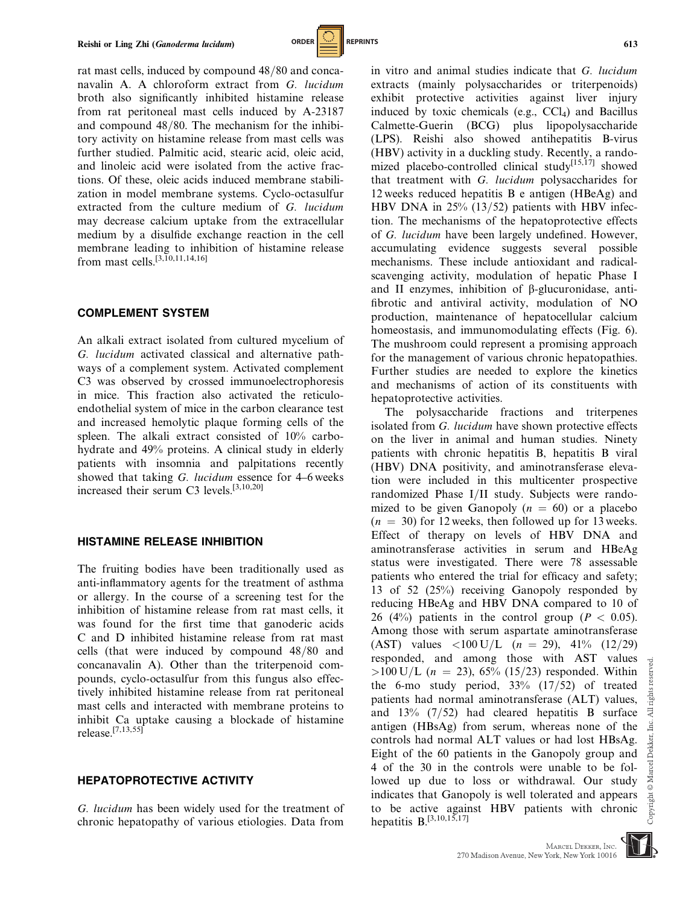

rat mast cells, induced by compound  $48/80$  and concanavalin A. A chloroform extract from G. lucidum broth also significantly inhibited histamine release from rat peritoneal mast cells induced by A-23187 and compound  $48/80$ . The mechanism for the inhibitory activity on histamine release from mast cells was further studied. Palmitic acid, stearic acid, oleic acid, and linoleic acid were isolated from the active fractions. Of these, oleic acids induced membrane stabilization in model membrane systems. Cyclo-octasulfur extracted from the culture medium of G. lucidum may decrease calcium uptake from the extracellular medium by a disulfide exchange reaction in the cell membrane leading to inhibition of histamine release from mast cells.[3,10,11,14,16]

#### COMPLEMENT SYSTEM

An alkali extract isolated from cultured mycelium of G. lucidum activated classical and alternative pathways of a complement system. Activated complement C3 was observed by crossed immunoelectrophoresis in mice. This fraction also activated the reticuloendothelial system of mice in the carbon clearance test and increased hemolytic plaque forming cells of the spleen. The alkali extract consisted of 10% carbohydrate and 49% proteins. A clinical study in elderly patients with insomnia and palpitations recently showed that taking G. lucidum essence for 4–6 weeks increased their serum C3 levels.[3,10,20]

#### HISTAMINE RELEASE INHIBITION

The fruiting bodies have been traditionally used as anti-inflammatory agents for the treatment of asthma or allergy. In the course of a screening test for the inhibition of histamine release from rat mast cells, it was found for the first time that ganoderic acids C and D inhibited histamine release from rat mast cells (that were induced by compound  $48/80$  and concanavalin A). Other than the triterpenoid compounds, cyclo-octasulfur from this fungus also effectively inhibited histamine release from rat peritoneal mast cells and interacted with membrane proteins to inhibit Ca uptake causing a blockade of histamine release. $[7,13,55]$ 

#### HEPATOPROTECTIVE ACTIVITY

G. lucidum has been widely used for the treatment of chronic hepatopathy of various etiologies. Data from

in vitro and animal studies indicate that G. lucidum extracts (mainly polysaccharides or triterpenoids) exhibit protective activities against liver injury induced by toxic chemicals (e.g.,  $CCl<sub>4</sub>$ ) and Bacillus Calmette-Guerin (BCG) plus lipopolysaccharide (LPS). Reishi also showed antihepatitis B-virus (HBV) activity in a duckling study. Recently, a randomized placebo-controlled clinical study $[15,17]$  showed that treatment with G. lucidum polysaccharides for 12 weeks reduced hepatitis B e antigen (HBeAg) and HBV DNA in  $25\%$  (13/52) patients with HBV infection. The mechanisms of the hepatoprotective effects of G. lucidum have been largely undefined. However, accumulating evidence suggests several possible mechanisms. These include antioxidant and radicalscavenging activity, modulation of hepatic Phase I and II enzymes, inhibition of  $\beta$ -glucuronidase, antifibrotic and antiviral activity, modulation of NO production, maintenance of hepatocellular calcium homeostasis, and immunomodulating effects (Fig. 6). The mushroom could represent a promising approach for the management of various chronic hepatopathies. Further studies are needed to explore the kinetics and mechanisms of action of its constituents with hepatoprotective activities.

The polysaccharide fractions and triterpenes isolated from G. lucidum have shown protective effects on the liver in animal and human studies. Ninety patients with chronic hepatitis B, hepatitis B viral (HBV) DNA positivity, and aminotransferase elevation were included in this multicenter prospective randomized Phase I/II study. Subjects were randomized to be given Ganopoly ( $n = 60$ ) or a placebo  $(n = 30)$  for 12 weeks, then followed up for 13 weeks. Effect of therapy on levels of HBV DNA and aminotransferase activities in serum and HBeAg status were investigated. There were 78 assessable patients who entered the trial for efficacy and safety; 13 of 52 (25%) receiving Ganopoly responded by reducing HBeAg and HBV DNA compared to 10 of 26 (4%) patients in the control group ( $P < 0.05$ ). Among those with serum aspartate aminotransferase (AST) values  $\langle 100 \text{ U/L} \quad (n = 29), \quad 41\% \quad (12/29)$ responded, and among those with AST values  $>100$  U/L (n = 23), 65% (15/23) responded. Within the 6-mo study period,  $33\%$  (17/52) of treated patients had normal aminotransferase (ALT) values, and  $13\%$  (7/52) had cleared hepatitis B surface antigen (HBsAg) from serum, whereas none of the controls had normal ALT values or had lost HBsAg. Eight of the 60 patients in the Ganopoly group and 4 of the 30 in the controls were unable to be followed up due to loss or withdrawal. Our study indicates that Ganopoly is well tolerated and appears to be active against HBV patients with chronic hepatitis  $B.$ <sup>[3,10,15,17]</sup>

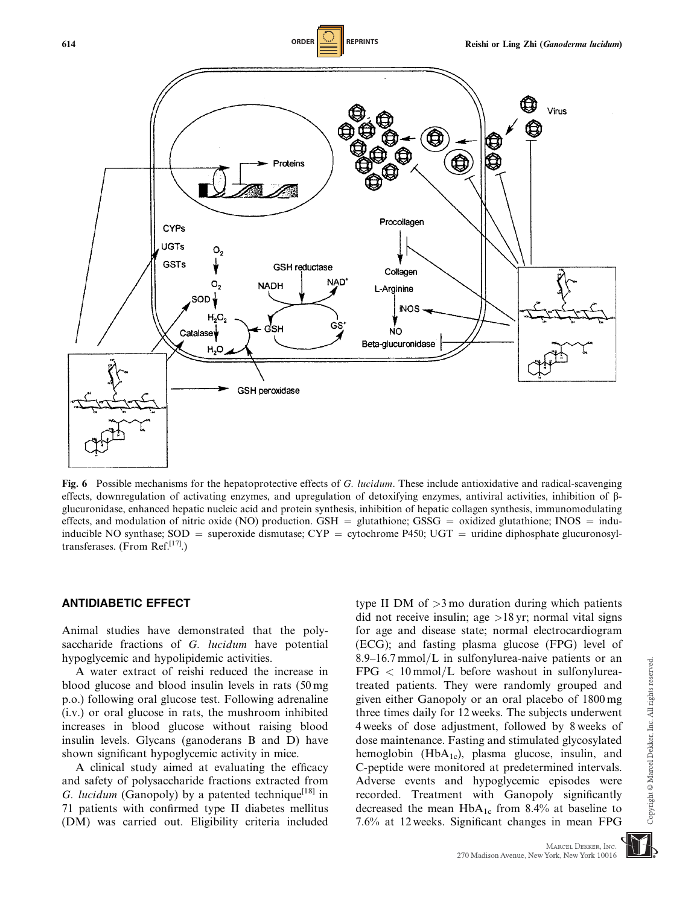

Fig. 6 Possible mechanisms for the hepatoprotective effects of G. lucidum. These include antioxidative and radical-scavenging effects, downregulation of activating enzymes, and upregulation of detoxifying enzymes, antiviral activities, inhibition of bglucuronidase, enhanced hepatic nucleic acid and protein synthesis, inhibition of hepatic collagen synthesis, immunomodulating effects, and modulation of nitric oxide (NO) production. GSH = glutathione; GSSG = oxidized glutathione; INOS = induinducible NO synthase;  $SOD =$  superoxide dismutase;  $CYP =$  cytochrome P450; UGT = uridine diphosphate glucuronosyltransferases. (From Ref. $[17]$ .)

#### ANTIDIABETIC EFFECT

Animal studies have demonstrated that the polysaccharide fractions of G. *lucidum* have potential hypoglycemic and hypolipidemic activities.

A water extract of reishi reduced the increase in blood glucose and blood insulin levels in rats (50 mg p.o.) following oral glucose test. Following adrenaline (i.v.) or oral glucose in rats, the mushroom inhibited increases in blood glucose without raising blood insulin levels. Glycans (ganoderans B and D) have shown significant hypoglycemic activity in mice.

A clinical study aimed at evaluating the efficacy and safety of polysaccharide fractions extracted from G. lucidum (Ganopoly) by a patented technique<sup>[18]</sup> in 71 patients with confirmed type II diabetes mellitus (DM) was carried out. Eligibility criteria included

type II DM of  $>3$  mo duration during which patients did not receive insulin; age  $>18$  yr; normal vital signs for age and disease state; normal electrocardiogram (ECG); and fasting plasma glucose (FPG) level of 8.9–16.7 mmol/L in sulfonylurea-naive patients or an  $FPG < 10$  mmol/L before washout in sulfonylureatreated patients. They were randomly grouped and given either Ganopoly or an oral placebo of 1800 mg three times daily for 12 weeks. The subjects underwent 4 weeks of dose adjustment, followed by 8 weeks of dose maintenance. Fasting and stimulated glycosylated hemoglobin ( $HbA_{1c}$ ), plasma glucose, insulin, and C-peptide were monitored at predetermined intervals. Adverse events and hypoglycemic episodes were recorded. Treatment with Ganopoly significantly decreased the mean  $HbA_{1c}$  from 8.4% at baseline to 7.6% at 12 weeks. Significant changes in mean FPG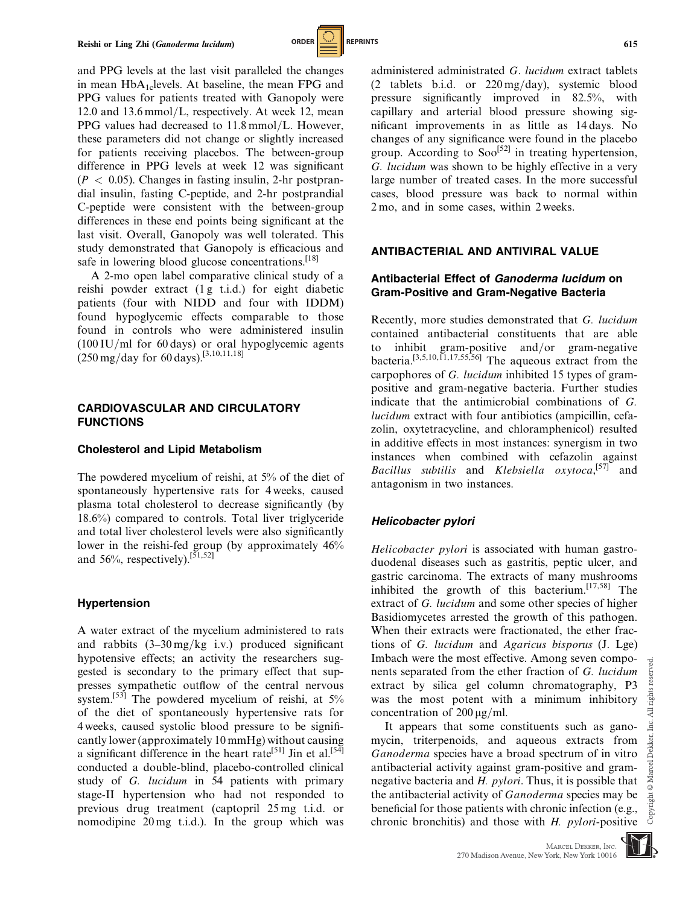

and PPG levels at the last visit paralleled the changes in mean HbA<sub>1c</sub>levels. At baseline, the mean FPG and PPG values for patients treated with Ganopoly were 12.0 and  $13.6$  mmol/L, respectively. At week 12, mean PPG values had decreased to  $11.8 \text{ mmol/L}$ . However, these parameters did not change or slightly increased for patients receiving placebos. The between-group difference in PPG levels at week 12 was significant  $(P < 0.05)$ . Changes in fasting insulin, 2-hr postprandial insulin, fasting C-peptide, and 2-hr postprandial C-peptide were consistent with the between-group differences in these end points being significant at the last visit. Overall, Ganopoly was well tolerated. This study demonstrated that Ganopoly is efficacious and safe in lowering blood glucose concentrations.<sup>[18]</sup>

A 2-mo open label comparative clinical study of a reishi powder extract (1 g t.i.d.) for eight diabetic patients (four with NIDD and four with IDDM) found hypoglycemic effects comparable to those found in controls who were administered insulin  $(100 \text{ IU/ml}$  for 60 days) or oral hypoglycemic agents  $(250 \text{ mg/day}$  for 60 days).<sup>[3,10,11,18]</sup>

#### CARDIOVASCULAR AND CIRCULATORY FUNCTIONS

#### Cholesterol and Lipid Metabolism

The powdered mycelium of reishi, at 5% of the diet of spontaneously hypertensive rats for 4 weeks, caused plasma total cholesterol to decrease significantly (by 18.6%) compared to controls. Total liver triglyceride and total liver cholesterol levels were also significantly lower in the reishi-fed group (by approximately 46% and 56%, respectively).<sup>[51,52]</sup>

### Hypertension

A water extract of the mycelium administered to rats and rabbits  $(3-30 \text{ mg/kg} \text{ i.v.})$  produced significant hypotensive effects; an activity the researchers suggested is secondary to the primary effect that suppresses sympathetic outflow of the central nervous system.<sup>[53]</sup> The powdered mycelium of reishi, at  $5\%$ of the diet of spontaneously hypertensive rats for 4 weeks, caused systolic blood pressure to be significantly lower (approximately 10 mmHg) without causing a significant difference in the heart rate<sup>[51]</sup> Jin et al.<sup>[54]</sup> conducted a double-blind, placebo-controlled clinical study of G. lucidum in 54 patients with primary stage-II hypertension who had not responded to previous drug treatment (captopril 25 mg t.i.d. or nomodipine 20 mg t.i.d.). In the group which was administered administrated G. lucidum extract tablets  $(2 \text{ tablets } b.i.d. \text{or } 220 \text{ mg/day})$ , systemic blood pressure significantly improved in 82.5%, with capillary and arterial blood pressure showing significant improvements in as little as 14 days. No changes of any significance were found in the placebo group. According to  $Soo^{[52]}$  in treating hypertension, G. lucidum was shown to be highly effective in a very large number of treated cases. In the more successful cases, blood pressure was back to normal within 2 mo, and in some cases, within 2 weeks.

# ANTIBACTERIAL AND ANTIVIRAL VALUE

# Antibacterial Effect of Ganoderma lucidum on Gram-Positive and Gram-Negative Bacteria

Recently, more studies demonstrated that G. lucidum contained antibacterial constituents that are able to inhibit gram-positive and/or gram-negative bacteria.[3,5,10,11,17,55,56] The aqueous extract from the carpophores of G. lucidum inhibited 15 types of grampositive and gram-negative bacteria. Further studies indicate that the antimicrobial combinations of G. lucidum extract with four antibiotics (ampicillin, cefazolin, oxytetracycline, and chloramphenicol) resulted in additive effects in most instances: synergism in two instances when combined with cefazolin against Bacillus subtilis and Klebsiella  $oxy to ca$ ,<sup>[57]</sup> and antagonism in two instances.

#### Helicobacter pylori

Helicobacter pylori is associated with human gastroduodenal diseases such as gastritis, peptic ulcer, and gastric carcinoma. The extracts of many mushrooms inhibited the growth of this bacterium.[17,58] The extract of G. lucidum and some other species of higher Basidiomycetes arrested the growth of this pathogen. When their extracts were fractionated, the ether fractions of G. lucidum and Agaricus bisporus (J. Lge) Imbach were the most effective. Among seven components separated from the ether fraction of G. lucidum extract by silica gel column chromatography, P3 was the most potent with a minimum inhibitory concentration of  $200 \mu g/ml$ .

It appears that some constituents such as ganomycin, triterpenoids, and aqueous extracts from Ganoderma species have a broad spectrum of in vitro antibacterial activity against gram-positive and gramnegative bacteria and H. pylori. Thus, it is possible that the antibacterial activity of Ganoderma species may be beneficial for those patients with chronic infection (e.g., chronic bronchitis) and those with H. pylori-positive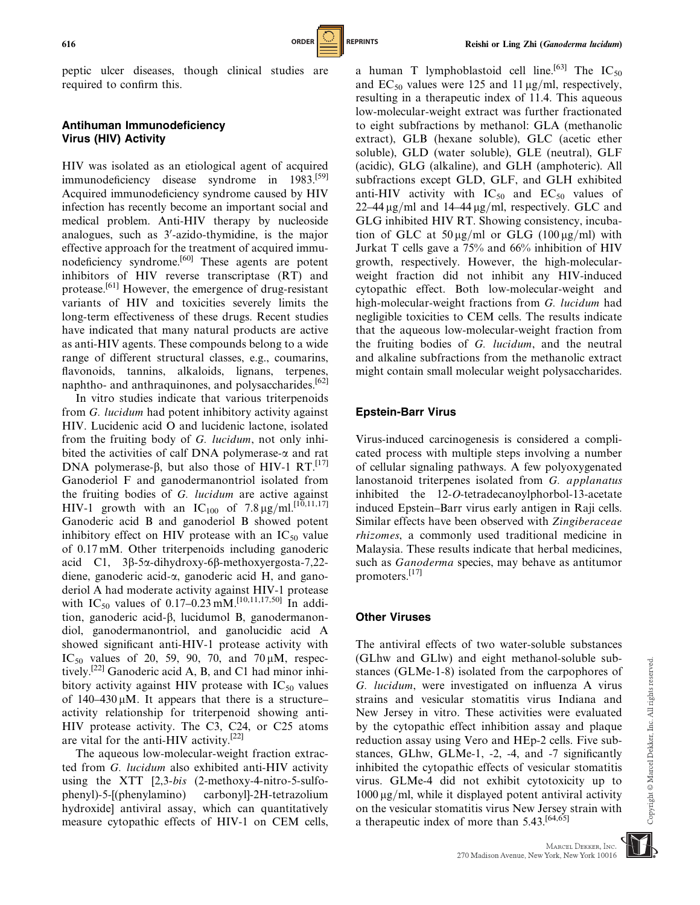

peptic ulcer diseases, though clinical studies are required to confirm this.

# Antihuman Immunodeficiency Virus (HIV) Activity

HIV was isolated as an etiological agent of acquired immunodeficiency disease syndrome in 1983.<sup>[59]</sup> Acquired immunodeficiency syndrome caused by HIV infection has recently become an important social and medical problem. Anti-HIV therapy by nucleoside analogues, such as 3'-azido-thymidine, is the major effective approach for the treatment of acquired immunodeficiency syndrome.[60] These agents are potent inhibitors of HIV reverse transcriptase (RT) and protease.[61] However, the emergence of drug-resistant variants of HIV and toxicities severely limits the long-term effectiveness of these drugs. Recent studies have indicated that many natural products are active as anti-HIV agents. These compounds belong to a wide range of different structural classes, e.g., coumarins, flavonoids, tannins, alkaloids, lignans, terpenes, naphtho- and anthraquinones, and polysaccharides.<sup>[62]</sup>

In vitro studies indicate that various triterpenoids from G. lucidum had potent inhibitory activity against HIV. Lucidenic acid O and lucidenic lactone, isolated from the fruiting body of G. lucidum, not only inhibited the activities of calf DNA polymerase- $\alpha$  and rat DNA polymerase- $\beta$ , but also those of HIV-1 RT.<sup>[17]</sup> Ganoderiol F and ganodermanontriol isolated from the fruiting bodies of G. lucidum are active against HIV-1 growth with an IC<sub>100</sub> of 7.8  $\mu$ g/ml.<sup>[10,11,17]</sup> Ganoderic acid B and ganoderiol B showed potent inhibitory effect on HIV protease with an  $IC_{50}$  value of 0.17 mM. Other triterpenoids including ganoderic acid C1,  $3\beta$ -5 $\alpha$ -dihydroxy-6 $\beta$ -methoxyergosta-7,22diene, ganoderic acid-a, ganoderic acid H, and ganoderiol A had moderate activity against HIV-1 protease with IC<sub>50</sub> values of 0.17–0.23 mM.<sup>[10,11,17,50]</sup> In addition, ganoderic acid-β, lucidumol B, ganodermanondiol, ganodermanontriol, and ganolucidic acid A showed significant anti-HIV-1 protease activity with IC<sub>50</sub> values of 20, 59, 90, 70, and 70  $\mu$ M, respectively.<sup>[22]</sup> Ganoderic acid A, B, and C1 had minor inhibitory activity against HIV protease with  $IC_{50}$  values of  $140-430 \mu M$ . It appears that there is a structure– activity relationship for triterpenoid showing anti-HIV protease activity. The C3, C24, or C25 atoms are vital for the anti-HIV activity.[22]

The aqueous low-molecular-weight fraction extracted from G. lucidum also exhibited anti-HIV activity using the XTT [2,3-bis (2-methoxy-4-nitro-5-sulfophenyl)-5-[(phenylamino) carbonyl]-2H-tetrazolium hydroxide] antiviral assay, which can quantitatively measure cytopathic effects of HIV-1 on CEM cells,

a human T lymphoblastoid cell line.<sup>[63]</sup> The  $IC_{50}$ and  $EC_{50}$  values were 125 and 11  $\mu$ g/ml, respectively, resulting in a therapeutic index of 11.4. This aqueous low-molecular-weight extract was further fractionated to eight subfractions by methanol: GLA (methanolic extract), GLB (hexane soluble), GLC (acetic ether soluble), GLD (water soluble), GLE (neutral), GLF (acidic), GLG (alkaline), and GLH (amphoteric). All subfractions except GLD, GLF, and GLH exhibited anti-HIV activity with  $IC_{50}$  and  $EC_{50}$  values of  $22-44 \,\mu$ g/ml and 14–44  $\mu$ g/ml, respectively. GLC and GLG inhibited HIV RT. Showing consistency, incubation of GLC at  $50 \mu g/ml$  or GLG (100  $\mu g/ml$ ) with Jurkat T cells gave a 75% and 66% inhibition of HIV growth, respectively. However, the high-molecularweight fraction did not inhibit any HIV-induced cytopathic effect. Both low-molecular-weight and high-molecular-weight fractions from G. lucidum had negligible toxicities to CEM cells. The results indicate that the aqueous low-molecular-weight fraction from the fruiting bodies of G. lucidum, and the neutral and alkaline subfractions from the methanolic extract might contain small molecular weight polysaccharides.

#### Epstein-Barr Virus

Virus-induced carcinogenesis is considered a complicated process with multiple steps involving a number of cellular signaling pathways. A few polyoxygenated lanostanoid triterpenes isolated from G. applanatus inhibited the 12-O-tetradecanoylphorbol-13-acetate induced Epstein–Barr virus early antigen in Raji cells. Similar effects have been observed with Zingiberaceae rhizomes, a commonly used traditional medicine in Malaysia. These results indicate that herbal medicines, such as Ganoderma species, may behave as antitumor promoters.<sup>[17]</sup>

#### Other Viruses

The antiviral effects of two water-soluble substances (GLhw and GLlw) and eight methanol-soluble substances (GLMe-1-8) isolated from the carpophores of G. lucidum, were investigated on influenza A virus strains and vesicular stomatitis virus Indiana and New Jersey in vitro. These activities were evaluated by the cytopathic effect inhibition assay and plaque reduction assay using Vero and HEp-2 cells. Five substances, GLhw, GLMe-1, -2, -4, and -7 significantly inhibited the cytopathic effects of vesicular stomatitis virus. GLMe-4 did not exhibit cytotoxicity up to  $1000 \mu g/ml$ , while it displayed potent antiviral activity on the vesicular stomatitis virus New Jersey strain with a therapeutic index of more than 5.43.[64,65]

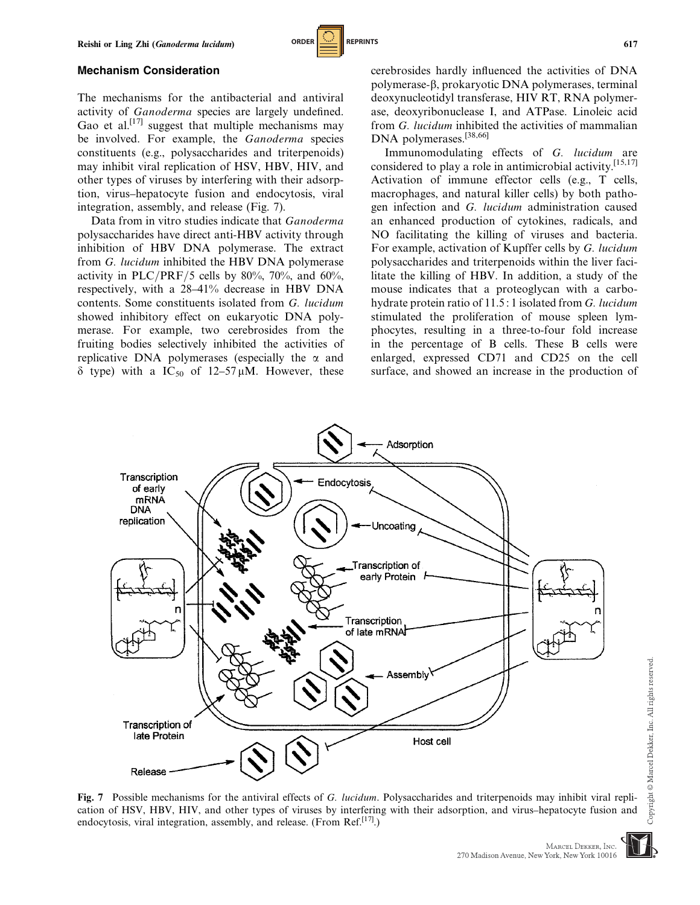

#### Mechanism Consideration

The mechanisms for the antibacterial and antiviral activity of Ganoderma species are largely undefined. Gao et al.<sup>[17]</sup> suggest that multiple mechanisms may be involved. For example, the Ganoderma species constituents (e.g., polysaccharides and triterpenoids) may inhibit viral replication of HSV, HBV, HIV, and other types of viruses by interfering with their adsorption, virus–hepatocyte fusion and endocytosis, viral integration, assembly, and release (Fig. 7).

Data from in vitro studies indicate that Ganoderma polysaccharides have direct anti-HBV activity through inhibition of HBV DNA polymerase. The extract from G. lucidum inhibited the HBV DNA polymerase activity in PLC/PRF/5 cells by 80%, 70%, and 60%, respectively, with a 28–41% decrease in HBV DNA contents. Some constituents isolated from G. lucidum showed inhibitory effect on eukaryotic DNA polymerase. For example, two cerebrosides from the fruiting bodies selectively inhibited the activities of replicative DNA polymerases (especially the  $\alpha$  and  $\delta$  type) with a IC<sub>50</sub> of 12–57  $\mu$ M. However, these

endocytosis, viral integration, assembly, and release. (From Ref.<sup>[17]</sup>.)

Immunomodulating effects of G. *lucidum* are considered to play a role in antimicrobial activity.<sup>[15,17]</sup> Activation of immune effector cells (e.g., T cells, macrophages, and natural killer cells) by both pathogen infection and G. lucidum administration caused an enhanced production of cytokines, radicals, and NO facilitating the killing of viruses and bacteria. For example, activation of Kupffer cells by G. lucidum polysaccharides and triterpenoids within the liver facilitate the killing of HBV. In addition, a study of the mouse indicates that a proteoglycan with a carbohydrate protein ratio of 11.5 : 1 isolated from G. lucidum stimulated the proliferation of mouse spleen lymphocytes, resulting in a three-to-four fold increase in the percentage of B cells. These B cells were enlarged, expressed CD71 and CD25 on the cell surface, and showed an increase in the production of



Fig. 7 Possible mechanisms for the antiviral effects of G. lucidum. Polysaccharides and triterpenoids may inhibit viral replication of HSV, HBV, HIV, and other types of viruses by interfering with their adsorption, and virus–hepatocyte fusion and

Copyright © Marcel Dekker, Inc. All rights reserved

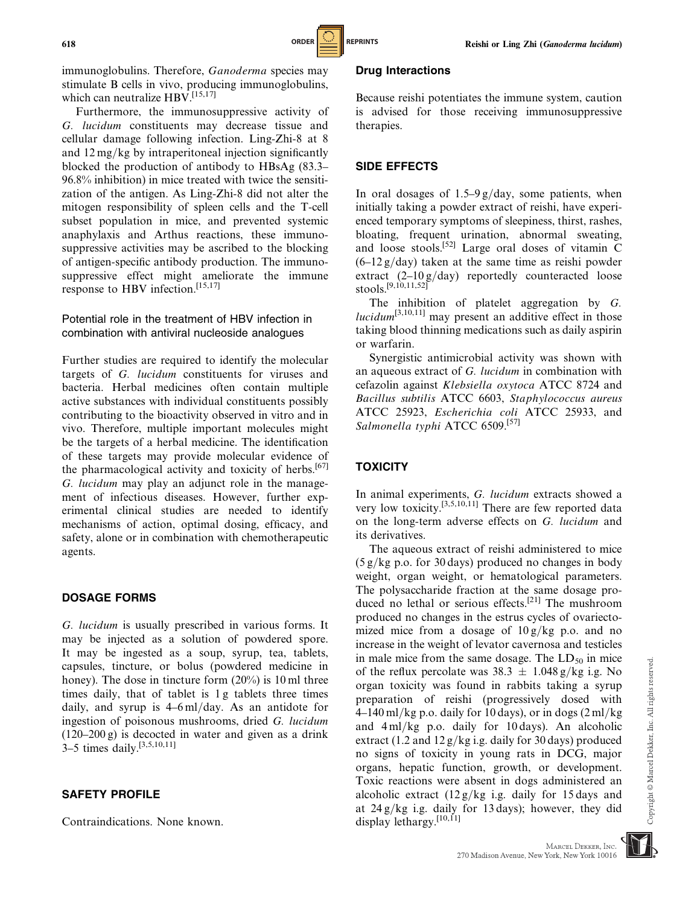immunoglobulins. Therefore, *Ganoderma* species may stimulate B cells in vivo, producing immunoglobulins, which can neutralize  $HBV^{[15,17]}$ .

Furthermore, the immunosuppressive activity of G. lucidum constituents may decrease tissue and cellular damage following infection. Ling-Zhi-8 at 8 and  $12 \,\text{mg/kg}$  by intraperitoneal injection significantly blocked the production of antibody to HBsAg (83.3– 96.8% inhibition) in mice treated with twice the sensitization of the antigen. As Ling-Zhi-8 did not alter the mitogen responsibility of spleen cells and the T-cell subset population in mice, and prevented systemic anaphylaxis and Arthus reactions, these immunosuppressive activities may be ascribed to the blocking of antigen-specific antibody production. The immunosuppressive effect might ameliorate the immune response to HBV infection.<sup>[15,17]</sup>

Potential role in the treatment of HBV infection in combination with antiviral nucleoside analogues

Further studies are required to identify the molecular targets of G. lucidum constituents for viruses and bacteria. Herbal medicines often contain multiple active substances with individual constituents possibly contributing to the bioactivity observed in vitro and in vivo. Therefore, multiple important molecules might be the targets of a herbal medicine. The identification of these targets may provide molecular evidence of the pharmacological activity and toxicity of herbs.<sup>[67]</sup> G. lucidum may play an adjunct role in the management of infectious diseases. However, further experimental clinical studies are needed to identify mechanisms of action, optimal dosing, efficacy, and safety, alone or in combination with chemotherapeutic agents.

# DOSAGE FORMS

G. lucidum is usually prescribed in various forms. It may be injected as a solution of powdered spore. It may be ingested as a soup, syrup, tea, tablets, capsules, tincture, or bolus (powdered medicine in honey). The dose in tincture form  $(20\%)$  is 10 ml three times daily, that of tablet is 1 g tablets three times daily, and syrup is  $4-6$  ml/day. As an antidote for ingestion of poisonous mushrooms, dried G. lucidum (120–200 g) is decocted in water and given as a drink 3–5 times daily.[3,5,10,11]

# SAFETY PROFILE

Contraindications. None known.

#### Drug Interactions

Because reishi potentiates the immune system, caution is advised for those receiving immunosuppressive therapies.

# SIDE EFFECTS

In oral dosages of  $1.5-9$  g/day, some patients, when initially taking a powder extract of reishi, have experienced temporary symptoms of sleepiness, thirst, rashes, bloating, frequent urination, abnormal sweating, and loose stools.<sup>[52]</sup> Large oral doses of vitamin C  $(6-12 \frac{g}{day})$  taken at the same time as reishi powder extract  $(2-10 g/day)$  reportedly counteracted loose stools.<sup>[9,10,11,52]</sup>

The inhibition of platelet aggregation by G. lucidum<sup>[3,10,11]</sup> may present an additive effect in those taking blood thinning medications such as daily aspirin or warfarin.

Synergistic antimicrobial activity was shown with an aqueous extract of G. lucidum in combination with cefazolin against Klebsiella oxytoca ATCC 8724 and Bacillus subtilis ATCC 6603, Staphylococcus aureus ATCC 25923, Escherichia coli ATCC 25933, and Salmonella typhi ATCC 6509.<sup>[57]</sup>

# **TOXICITY**

In animal experiments, G. lucidum extracts showed a very low toxicity.[3,5,10,11] There are few reported data on the long-term adverse effects on G. lucidum and its derivatives.

The aqueous extract of reishi administered to mice  $(5 g/kg p.o.$  for 30 days) produced no changes in body weight, organ weight, or hematological parameters. The polysaccharide fraction at the same dosage produced no lethal or serious effects.[21] The mushroom produced no changes in the estrus cycles of ovariectomized mice from a dosage of  $10 g/kg$  p.o. and no increase in the weight of levator cavernosa and testicles in male mice from the same dosage. The  $LD_{50}$  in mice of the reflux percolate was  $38.3 \pm 1.048 \text{ g/kg}$  i.g. No organ toxicity was found in rabbits taking a syrup preparation of reishi (progressively dosed with  $4-140$  ml/kg p.o. daily for 10 days), or in dogs  $(2 \text{ ml/kg})$ and  $4 \text{ ml/kg}$  p.o. daily for 10 days). An alcoholic extract (1.2 and  $12 g/kg$  i.g. daily for 30 days) produced no signs of toxicity in young rats in DCG, major organs, hepatic function, growth, or development. Toxic reactions were absent in dogs administered an alcoholic extract  $(12 g/kg)$  i.g. daily for 15 days and at  $24 g/kg$  i.g. daily for 13 days); however, they did display lethargy.<sup>[10,11]</sup>

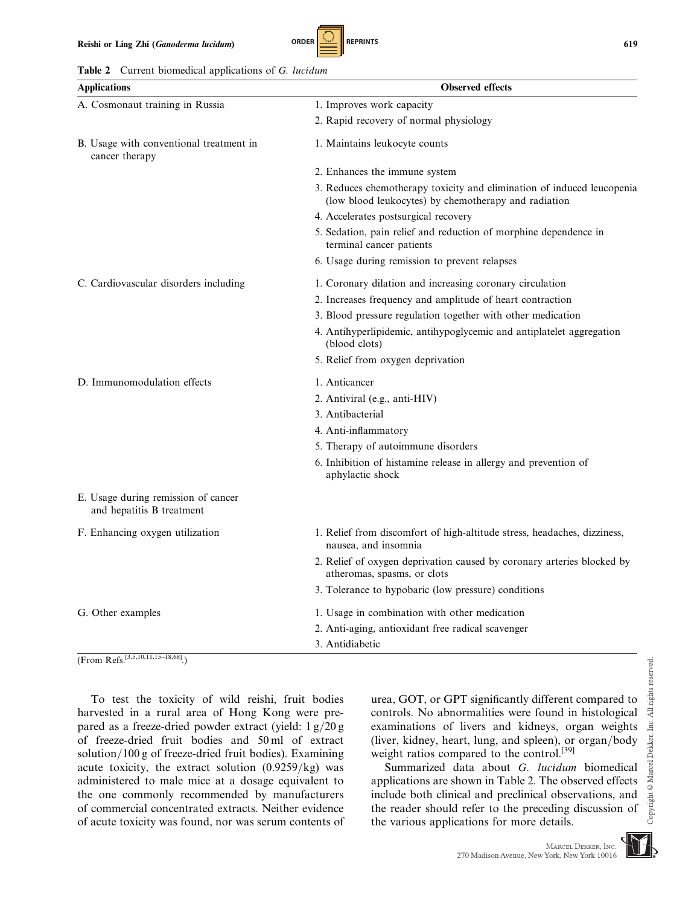

# Table 2 Current biomedical applications of G. lucidum

| <b>Applications</b>                                              | <b>Observed effects</b>                                                                                                        |  |
|------------------------------------------------------------------|--------------------------------------------------------------------------------------------------------------------------------|--|
| A. Cosmonaut training in Russia                                  | 1. Improves work capacity                                                                                                      |  |
|                                                                  | 2. Rapid recovery of normal physiology                                                                                         |  |
| B. Usage with conventional treatment in<br>cancer therapy        | 1. Maintains leukocyte counts                                                                                                  |  |
|                                                                  | 2. Enhances the immune system                                                                                                  |  |
|                                                                  | 3. Reduces chemotherapy toxicity and elimination of induced leucopenia<br>(low blood leukocytes) by chemotherapy and radiation |  |
|                                                                  | 4. Accelerates postsurgical recovery                                                                                           |  |
|                                                                  | 5. Sedation, pain relief and reduction of morphine dependence in<br>terminal cancer patients                                   |  |
|                                                                  | 6. Usage during remission to prevent relapses                                                                                  |  |
| C. Cardiovascular disorders including                            | 1. Coronary dilation and increasing coronary circulation                                                                       |  |
|                                                                  | 2. Increases frequency and amplitude of heart contraction                                                                      |  |
|                                                                  | 3. Blood pressure regulation together with other medication                                                                    |  |
|                                                                  | 4. Antihyperlipidemic, antihypoglycemic and antiplatelet aggregation<br>(blood clots)                                          |  |
|                                                                  | 5. Relief from oxygen deprivation                                                                                              |  |
| D. Immunomodulation effects                                      | 1. Anticancer                                                                                                                  |  |
|                                                                  | 2. Antiviral (e.g., anti-HIV)                                                                                                  |  |
|                                                                  | 3. Antibacterial                                                                                                               |  |
|                                                                  | 4. Anti-inflammatory                                                                                                           |  |
|                                                                  | 5. Therapy of autoimmune disorders                                                                                             |  |
|                                                                  | 6. Inhibition of histamine release in allergy and prevention of<br>aphylactic shock                                            |  |
| E. Usage during remission of cancer<br>and hepatitis B treatment |                                                                                                                                |  |
| F. Enhancing oxygen utilization                                  | 1. Relief from discomfort of high-altitude stress, headaches, dizziness,<br>nausea, and insomnia                               |  |
|                                                                  | 2. Relief of oxygen deprivation caused by coronary arteries blocked by<br>atheromas, spasms, or clots                          |  |
|                                                                  | 3. Tolerance to hypobaric (low pressure) conditions                                                                            |  |
| G. Other examples                                                | 1. Usage in combination with other medication                                                                                  |  |
|                                                                  | 2. Anti-aging, antioxidant free radical scavenger                                                                              |  |
|                                                                  | 3. Antidiabetic                                                                                                                |  |

(From Refs.[3,5,10,11,15–18,68].)

To test the toxicity of wild reishi, fruit bodies harvested in a rural area of Hong Kong were prepared as a freeze-dried powder extract (yield:  $1 g/20 g$ of freeze-dried fruit bodies and 50 ml of extract solution/ $100 g$  of freeze-dried fruit bodies). Examining acute toxicity, the extract solution  $(0.9259/kg)$  was administered to male mice at a dosage equivalent to the one commonly recommended by manufacturers of commercial concentrated extracts. Neither evidence of acute toxicity was found, nor was serum contents of urea, GOT, or GPT significantly different compared to controls. No abnormalities were found in histological examinations of livers and kidneys, organ weights (liver, kidney, heart, lung, and spleen), or organ/body weight ratios compared to the control.<sup>[39]</sup>

Summarized data about G. lucidum biomedical applications are shown in Table 2. The observed effects include both clinical and preclinical observations, and the reader should refer to the preceding discussion of the various applications for more details.

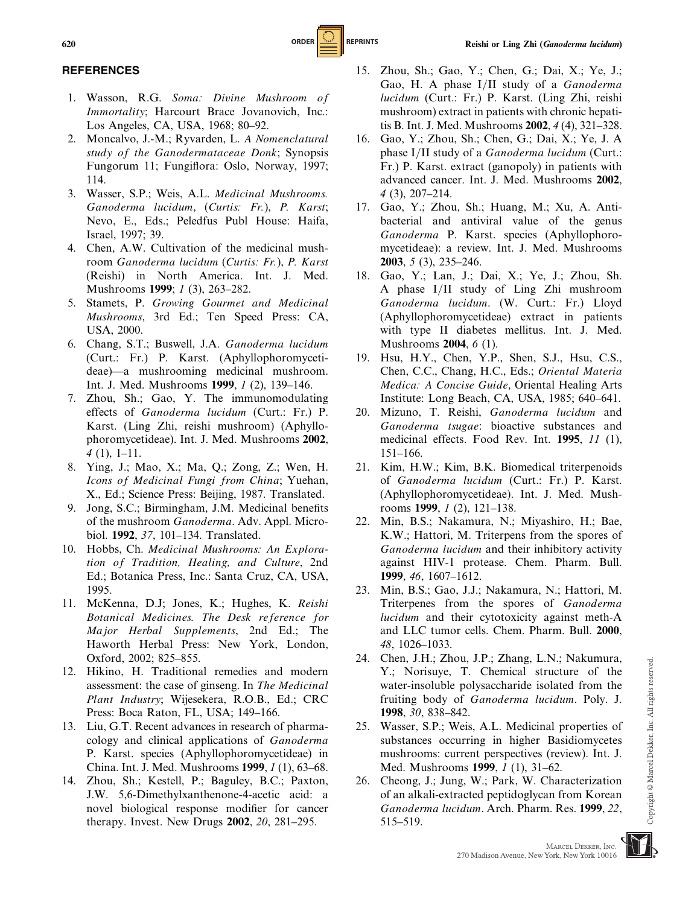

### **REFERENCES**

- 1. Wasson, R.G. Soma: Divine Mushroom of Immortality; Harcourt Brace Jovanovich, Inc.: Los Angeles, CA, USA, 1968; 80–92.
- 2. Moncalvo, J.-M.; Ryvarden, L. A Nomenclatural study of the Ganodermataceae Donk; Synopsis Fungorum 11; Fungiflora: Oslo, Norway, 1997; 114.
- 3. Wasser, S.P.; Weis, A.L. Medicinal Mushrooms. Ganoderma lucidum, (Curtis: Fr.), P. Karst; Nevo, E., Eds.; Peledfus Publ House: Haifa, Israel, 1997; 39.
- 4. Chen, A.W. Cultivation of the medicinal mushroom Ganoderma lucidum (Curtis: Fr.), P. Karst (Reishi) in North America. Int. J. Med. Mushrooms 1999; 1 (3), 263–282.
- 5. Stamets, P. Growing Gourmet and Medicinal Mushrooms, 3rd Ed.; Ten Speed Press: CA, USA, 2000.
- 6. Chang, S.T.; Buswell, J.A. Ganoderma lucidum (Curt.: Fr.) P. Karst. (Aphyllophoromycetideae)—a mushrooming medicinal mushroom. Int. J. Med. Mushrooms 1999, 1 (2), 139–146.
- 7. Zhou, Sh.; Gao, Y. The immunomodulating effects of Ganoderma lucidum (Curt.: Fr.) P. Karst. (Ling Zhi, reishi mushroom) (Aphyllophoromycetideae). Int. J. Med. Mushrooms 2002,  $4(1), 1-11.$
- 8. Ying, J.; Mao, X.; Ma, Q.; Zong, Z.; Wen, H. Icons of Medicinal Fungi from China; Yuehan, X., Ed.; Science Press: Beijing, 1987. Translated.
- 9. Jong, S.C.; Birmingham, J.M. Medicinal benefits of the mushroom Ganoderma. Adv. Appl. Microbiol. 1992, 37, 101–134. Translated.
- 10. Hobbs, Ch. Medicinal Mushrooms: An Exploration of Tradition, Healing, and Culture, 2nd Ed.; Botanica Press, Inc.: Santa Cruz, CA, USA, 1995.
- 11. McKenna, D.J; Jones, K.; Hughes, K. Reishi Botanical Medicines. The Desk reference for Major Herbal Supplements, 2nd Ed.; The Haworth Herbal Press: New York, London, Oxford, 2002; 825–855.
- 12. Hikino, H. Traditional remedies and modern assessment: the case of ginseng. In The Medicinal Plant Industry; Wijesekera, R.O.B., Ed.; CRC Press: Boca Raton, FL, USA; 149–166.
- 13. Liu, G.T. Recent advances in research of pharmacology and clinical applications of Ganoderma P. Karst. species (Aphyllophoromycetideae) in China. Int. J. Med. Mushrooms 1999, 1 (1), 63–68.
- 14. Zhou, Sh.; Kestell, P.; Baguley, B.C.; Paxton, J.W. 5,6-Dimethylxanthenone-4-acetic acid: a novel biological response modifier for cancer therapy. Invest. New Drugs 2002, 20, 281–295.
- 15. Zhou, Sh.; Gao, Y.; Chen, G.; Dai, X.; Ye, J.; Gao, H. A phase  $I/II$  study of a Ganoderma lucidum (Curt.: Fr.) P. Karst. (Ling Zhi, reishi mushroom) extract in patients with chronic hepatitis B. Int. J. Med. Mushrooms 2002, 4 (4), 321–328.
- 16. Gao, Y.; Zhou, Sh.; Chen, G.; Dai, X.; Ye, J. A phase I/II study of a Ganoderma lucidum (Curt.: Fr.) P. Karst. extract (ganopoly) in patients with advanced cancer. Int. J. Med. Mushrooms 2002, 4 (3), 207–214.
- 17. Gao, Y.; Zhou, Sh.; Huang, M.; Xu, A. Antibacterial and antiviral value of the genus Ganoderma P. Karst. species (Aphyllophoromycetideae): a review. Int. J. Med. Mushrooms 2003, 5 (3), 235–246.
- 18. Gao, Y.; Lan, J.; Dai, X.; Ye, J.; Zhou, Sh. A phase I/II study of Ling Zhi mushroom Ganoderma lucidum. (W. Curt.: Fr.) Lloyd (Aphyllophoromycetideae) extract in patients with type II diabetes mellitus. Int. J. Med. Mushrooms 2004, 6 (1).
- 19. Hsu, H.Y., Chen, Y.P., Shen, S.J., Hsu, C.S., Chen, C.C., Chang, H.C., Eds.; Oriental Materia Medica: A Concise Guide, Oriental Healing Arts Institute: Long Beach, CA, USA, 1985; 640–641.
- 20. Mizuno, T. Reishi, Ganoderma lucidum and Ganoderma tsugae: bioactive substances and medicinal effects. Food Rev. Int. 1995, 11 (1), 151–166.
- 21. Kim, H.W.; Kim, B.K. Biomedical triterpenoids of Ganoderma lucidum (Curt.: Fr.) P. Karst. (Aphyllophoromycetideae). Int. J. Med. Mushrooms 1999, 1 (2), 121–138.
- 22. Min, B.S.; Nakamura, N.; Miyashiro, H.; Bae, K.W.; Hattori, M. Triterpens from the spores of Ganoderma lucidum and their inhibitory activity against HIV-1 protease. Chem. Pharm. Bull. 1999, 46, 1607–1612.
- 23. Min, B.S.; Gao, J.J.; Nakamura, N.; Hattori, M. Triterpenes from the spores of Ganoderma lucidum and their cytotoxicity against meth-A and LLC tumor cells. Chem. Pharm. Bull. 2000, 48, 1026–1033.
- 24. Chen, J.H.; Zhou, J.P.; Zhang, L.N.; Nakumura, Y.; Norisuye, T. Chemical structure of the water-insoluble polysaccharide isolated from the fruiting body of Ganoderma lucidum. Poly. J. 1998, 30, 838–842.
- 25. Wasser, S.P.; Weis, A.L. Medicinal properties of substances occurring in higher Basidiomycetes mushrooms: current perspectives (review). Int. J. Med. Mushrooms 1999, 1 (1), 31–62.
- 26. Cheong, J.; Jung, W.; Park, W. Characterization of an alkali-extracted peptidoglycan from Korean Ganoderma lucidum. Arch. Pharm. Res. 1999, 22, 515–519.

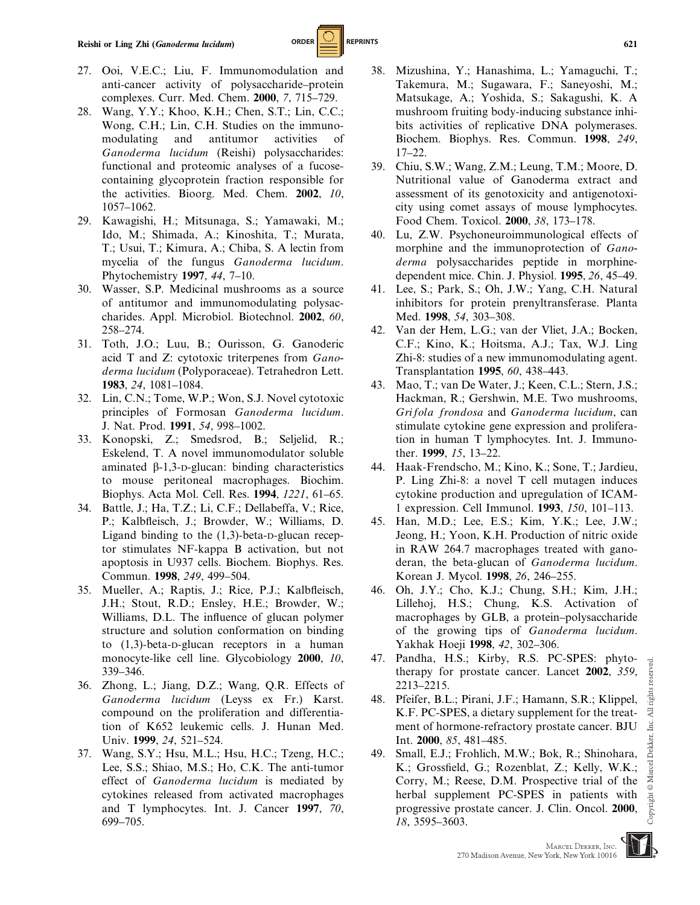

- 27. Ooi, V.E.C.; Liu, F. Immunomodulation and anti-cancer activity of polysaccharide–protein complexes. Curr. Med. Chem. 2000, 7, 715–729.
- 28. Wang, Y.Y.; Khoo, K.H.; Chen, S.T.; Lin, C.C.; Wong, C.H.; Lin, C.H. Studies on the immunomodulating and antitumor activities of Ganoderma lucidum (Reishi) polysaccharides: functional and proteomic analyses of a fucosecontaining glycoprotein fraction responsible for the activities. Bioorg. Med. Chem. 2002, 10, 1057–1062.
- 29. Kawagishi, H.; Mitsunaga, S.; Yamawaki, M.; Ido, M.; Shimada, A.; Kinoshita, T.; Murata, T.; Usui, T.; Kimura, A.; Chiba, S. A lectin from mycelia of the fungus Ganoderma lucidum. Phytochemistry 1997, 44, 7–10.
- 30. Wasser, S.P. Medicinal mushrooms as a source of antitumor and immunomodulating polysaccharides. Appl. Microbiol. Biotechnol. 2002, 60, 258–274.
- 31. Toth, J.O.; Luu, B.; Ourisson, G. Ganoderic acid T and Z: cytotoxic triterpenes from Ganoderma lucidum (Polyporaceae). Tetrahedron Lett. 1983, 24, 1081–1084.
- 32. Lin, C.N.; Tome, W.P.; Won, S.J. Novel cytotoxic principles of Formosan Ganoderma lucidum. J. Nat. Prod. 1991, 54, 998–1002.
- 33. Konopski, Z.; Smedsrod, B.; Seljelid, R.; Eskelend, T. A novel immunomodulator soluble aminated  $\beta$ -1,3-D-glucan: binding characteristics to mouse peritoneal macrophages. Biochim. Biophys. Acta Mol. Cell. Res. 1994, 1221, 61–65.
- 34. Battle, J.; Ha, T.Z.; Li, C.F.; Dellabeffa, V.; Rice, P.; Kalbfleisch, J.; Browder, W.; Williams, D. Ligand binding to the (1,3)-beta-D-glucan receptor stimulates NF-kappa B activation, but not apoptosis in U937 cells. Biochem. Biophys. Res. Commun. 1998, 249, 499–504.
- 35. Mueller, A.; Raptis, J.; Rice, P.J.; Kalbfleisch, J.H.; Stout, R.D.; Ensley, H.E.; Browder, W.; Williams, D.L. The influence of glucan polymer structure and solution conformation on binding to (1,3)-beta-D-glucan receptors in a human monocyte-like cell line. Glycobiology 2000, 10, 339–346.
- 36. Zhong, L.; Jiang, D.Z.; Wang, Q.R. Effects of Ganoderma lucidum (Leyss ex Fr.) Karst. compound on the proliferation and differentiation of K652 leukemic cells. J. Hunan Med. Univ. 1999, 24, 521–524.
- 37. Wang, S.Y.; Hsu, M.L.; Hsu, H.C.; Tzeng, H.C.; Lee, S.S.; Shiao, M.S.; Ho, C.K. The anti-tumor effect of Ganoderma lucidum is mediated by cytokines released from activated macrophages and T lymphocytes. Int. J. Cancer 1997, 70, 699–705.
- 38. Mizushina, Y.; Hanashima, L.; Yamaguchi, T.; Takemura, M.; Sugawara, F.; Saneyoshi, M.; Matsukage, A.; Yoshida, S.; Sakagushi, K. A mushroom fruiting body-inducing substance inhibits activities of replicative DNA polymerases. Biochem. Biophys. Res. Commun. 1998, 249, 17–22.
- 39. Chiu, S.W.; Wang, Z.M.; Leung, T.M.; Moore, D. Nutritional value of Ganoderma extract and assessment of its genotoxicity and antigenotoxicity using comet assays of mouse lymphocytes. Food Chem. Toxicol. 2000, 38, 173–178.
- 40. Lu, Z.W. Psychoneuroimmunological effects of morphine and the immunoprotection of Ganoderma polysaccharides peptide in morphinedependent mice. Chin. J. Physiol. 1995, 26, 45–49.
- 41. Lee, S.; Park, S.; Oh, J.W.; Yang, C.H. Natural inhibitors for protein prenyltransferase. Planta Med. 1998, 54, 303–308.
- 42. Van der Hem, L.G.; van der Vliet, J.A.; Bocken, C.F.; Kino, K.; Hoitsma, A.J.; Tax, W.J. Ling Zhi-8: studies of a new immunomodulating agent. Transplantation 1995, 60, 438–443.
- 43. Mao, T.; van De Water, J.; Keen, C.L.; Stern, J.S.; Hackman, R.; Gershwin, M.E. Two mushrooms, Grifola frondosa and Ganoderma lucidum, can stimulate cytokine gene expression and proliferation in human T lymphocytes. Int. J. Immunother. 1999, 15, 13–22.
- 44. Haak-Frendscho, M.; Kino, K.; Sone, T.; Jardieu, P. Ling Zhi-8: a novel T cell mutagen induces cytokine production and upregulation of ICAM-1 expression. Cell Immunol. 1993, 150, 101–113.
- 45. Han, M.D.; Lee, E.S.; Kim, Y.K.; Lee, J.W.; Jeong, H.; Yoon, K.H. Production of nitric oxide in RAW 264.7 macrophages treated with ganoderan, the beta-glucan of Ganoderma lucidum. Korean J. Mycol. 1998, 26, 246–255.
- 46. Oh, J.Y.; Cho, K.J.; Chung, S.H.; Kim, J.H.; Lillehoj, H.S.; Chung, K.S. Activation of macrophages by GLB, a protein–polysaccharide of the growing tips of Ganoderma lucidum. Yakhak Hoeji 1998, 42, 302–306.
- 47. Pandha, H.S.; Kirby, R.S. PC-SPES: phytotherapy for prostate cancer. Lancet 2002, 359, 2213–2215.
- 48. Pfeifer, B.L.; Pirani, J.F.; Hamann, S.R.; Klippel, K.F. PC-SPES, a dietary supplement for the treatment of hormone-refractory prostate cancer. BJU Int. 2000, 85, 481–485.
- 49. Small, E.J.; Frohlich, M.W.; Bok, R.; Shinohara, K.; Grossfield, G.; Rozenblat, Z.; Kelly, W.K.; Corry, M.; Reese, D.M. Prospective trial of the herbal supplement PC-SPES in patients with progressive prostate cancer. J. Clin. Oncol. 2000, 18, 3595–3603.

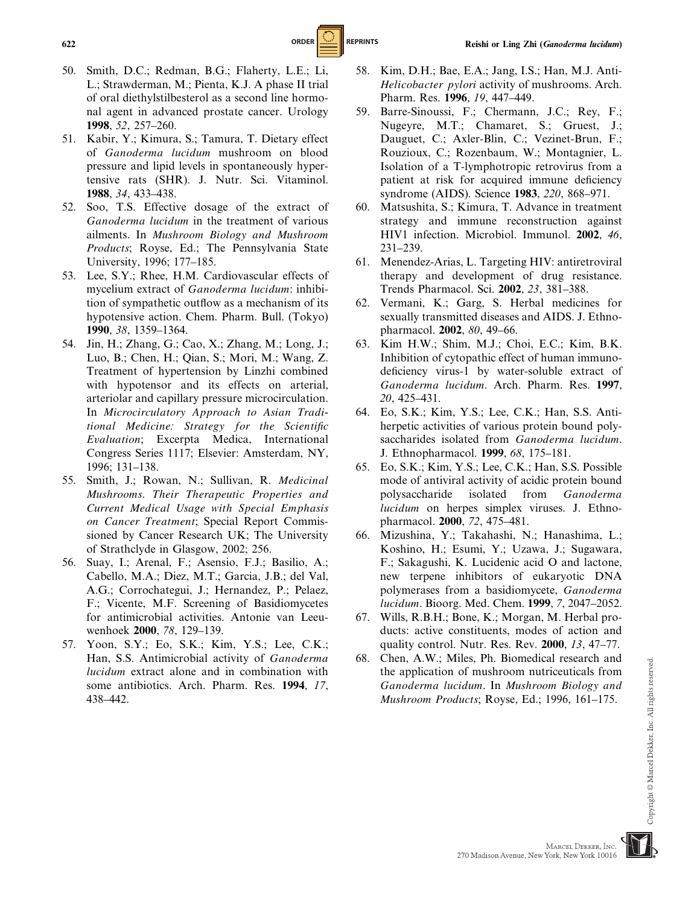

- 50. Smith, D.C.; Redman, B.G.; Flaherty, L.E.; Li, L.; Strawderman, M.; Pienta, K.J. A phase II trial of oral diethylstilbesterol as a second line hormonal agent in advanced prostate cancer. Urology 1998, 52, 257–260.
- 51. Kabir, Y.; Kimura, S.; Tamura, T. Dietary effect of Ganoderma lucidum mushroom on blood pressure and lipid levels in spontaneously hypertensive rats (SHR). J. Nutr. Sci. Vitaminol. 1988, 34, 433–438.
- 52. Soo, T.S. Effective dosage of the extract of Ganoderma lucidum in the treatment of various ailments. In Mushroom Biology and Mushroom Products; Royse, Ed.; The Pennsylvania State University, 1996; 177–185.
- 53. Lee, S.Y.; Rhee, H.M. Cardiovascular effects of mycelium extract of Ganoderma lucidum: inhibition of sympathetic outflow as a mechanism of its hypotensive action. Chem. Pharm. Bull. (Tokyo) 1990, 38, 1359–1364.
- 54. Jin, H.; Zhang, G.; Cao, X.; Zhang, M.; Long, J.; Luo, B.; Chen, H.; Qian, S.; Mori, M.; Wang, Z. Treatment of hypertension by Linzhi combined with hypotensor and its effects on arterial, arteriolar and capillary pressure microcirculation. In Microcirculatory Approach to Asian Traditional Medicine: Strategy for the Scientific Evaluation; Excerpta Medica, International Congress Series 1117; Elsevier: Amsterdam, NY, 1996; 131–138.
- 55. Smith, J.; Rowan, N.; Sullivan, R. Medicinal Mushrooms. Their Therapeutic Properties and Current Medical Usage with Special Emphasis on Cancer Treatment; Special Report Commissioned by Cancer Research UK; The University of Strathclyde in Glasgow, 2002; 256.
- 56. Suay, I.; Arenal, F.; Asensio, F.J.; Basilio, A.; Cabello, M.A.; Diez, M.T.; Garcia, J.B.; del Val, A.G.; Corrochategui, J.; Hernandez, P.; Pelaez, F.; Vicente, M.F. Screening of Basidiomycetes for antimicrobial activities. Antonie van Leeuwenhoek 2000, 78, 129–139.
- 57. Yoon, S.Y.; Eo, S.K.; Kim, Y.S.; Lee, C.K.; Han, S.S. Antimicrobial activity of Ganoderma lucidum extract alone and in combination with some antibiotics. Arch. Pharm. Res. 1994, 17, 438–442.
- 58. Kim, D.H.; Bae, E.A.; Jang, I.S.; Han, M.J. Anti-Helicobacter pylori activity of mushrooms. Arch. Pharm. Res. 1996, 19, 447–449.
- 59. Barre-Sinoussi, F.; Chermann, J.C.; Rey, F.; Nugeyre, M.T.; Chamaret, S.; Gruest, J.; Dauguet, C.; Axler-Blin, C.; Vezinet-Brun, F.; Rouzioux, C.; Rozenbaum, W.; Montagnier, L. Isolation of a T-lymphotropic retrovirus from a patient at risk for acquired immune deficiency syndrome (AIDS). Science 1983, 220, 868–971.
- 60. Matsushita, S.; Kimura, T. Advance in treatment strategy and immune reconstruction against HIV1 infection. Microbiol. Immunol. 2002, 46, 231–239.
- 61. Menendez-Arias, L. Targeting HIV: antiretroviral therapy and development of drug resistance. Trends Pharmacol. Sci. 2002, 23, 381–388.
- 62. Vermani, K.; Garg, S. Herbal medicines for sexually transmitted diseases and AIDS. J. Ethnopharmacol. 2002, 80, 49–66.
- 63. Kim H.W.; Shim, M.J.; Choi, E.C.; Kim, B.K. Inhibition of cytopathic effect of human immunodeficiency virus-1 by water-soluble extract of Ganoderma lucidum. Arch. Pharm. Res. 1997, 20, 425–431.
- 64. Eo, S.K.; Kim, Y.S.; Lee, C.K.; Han, S.S. Antiherpetic activities of various protein bound polysaccharides isolated from Ganoderma lucidum. J. Ethnopharmacol. 1999, 68, 175–181.
- 65. Eo, S.K.; Kim, Y.S.; Lee, C.K.; Han, S.S. Possible mode of antiviral activity of acidic protein bound polysaccharide isolated from Ganoderma lucidum on herpes simplex viruses. J. Ethnopharmacol. 2000, 72, 475–481.
- 66. Mizushina, Y.; Takahashi, N.; Hanashima, L.; Koshino, H.; Esumi, Y.; Uzawa, J.; Sugawara, F.; Sakagushi, K. Lucidenic acid O and lactone, new terpene inhibitors of eukaryotic DNA polymerases from a basidiomycete, Ganoderma lucidum. Bioorg. Med. Chem. 1999, 7, 2047–2052.
- 67. Wills, R.B.H.; Bone, K.; Morgan, M. Herbal products: active constituents, modes of action and quality control. Nutr. Res. Rev. 2000, 13, 47–77.
- 68. Chen, A.W.; Miles, Ph. Biomedical research and the application of mushroom nutriceuticals from Ganoderma lucidum. In Mushroom Biology and Mushroom Products; Royse, Ed.; 1996, 161–175.